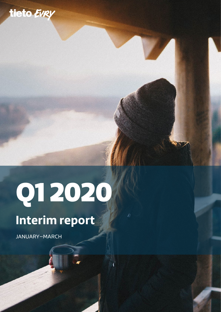

# Q1 2020

# **Interim report**

JANUARY–MARCH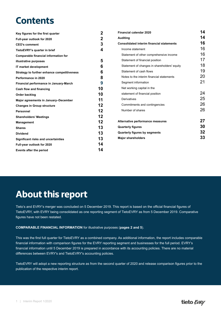# **Contents**

| Key figures for the first quarter           | $\mathbf{2}$   | <b>Financial calendar 2020</b>                   | 14 |
|---------------------------------------------|----------------|--------------------------------------------------|----|
| Full-year outlook for 2020                  | $\overline{2}$ | <b>Auditing</b>                                  | 14 |
| <b>CEO's comment</b>                        | 3              | <b>Consolidated interim financial statements</b> | 16 |
| TietoEVRY's quarter in brief                | 4              | Income statement                                 | 16 |
| Comparable financial information for        |                | Statement of other comprehensive income          | 16 |
| illustrative purposes                       | 5              | Statement of financial position                  | 17 |
| IT market development                       | 6              | Statement of changes in shareholders' equity     | 18 |
| Strategy to further enhance competitiveness | 6              | Statement of cash flows                          | 19 |
| Performance in 2020                         | 8              | Notes to the interim financial statements        | 20 |
| Financial performance in January-March      | 9              | Segment information                              | 21 |
| Cash flow and financing                     | 10             | Net working capital in the                       |    |
| Order backlog                               | 10             | statement of financial position                  | 24 |
| Major agreements in January-December        | 11             | Derivatives                                      | 25 |
| <b>Changes in Group structure</b>           | 12             | Commitments and contingencies                    | 26 |
| <b>Personnel</b>                            | 12             | Number of shares                                 | 26 |
| <b>Shareholders' Meetings</b>               | 12             |                                                  |    |
| <b>Management</b>                           | 12             | Alternative performance measures                 | 27 |
| <b>Shares</b>                               | 13             | <b>Quarterly figures</b>                         | 30 |
| <b>Dividend</b>                             | 13             | <b>Quarterly figures by segments</b>             | 32 |
| Significant risks and uncertainties         | 13             | <b>Major shareholders</b>                        | 33 |
| Full-year outlook for 2020                  | 14             |                                                  |    |
| <b>Events after the period</b>              | 14             |                                                  |    |

# **About this report**

Tieto's and EVRY's merger was concluded on 5 December 2019. This report is based on the official financial figures of TietoEVRY, with EVRY being consolidated as one reporting segment of TietoEVRY as from 5 December 2019. Comparative figures have not been restated.

#### **COMPARABLE FINANCIAL INFORMATION** for illustrative purposes (**pages [2](#page-2-0) and [5](#page-5-0)**).

This was the first full quarter for TietoEVRY as a combined company. As additional information, the report includes comparable financial information with comparison figures for the EVRY reporting segment and businesses for the full period. EVRY's financial information until 5 December 2019 is prepared in accordance with its accounting policies. There are no material differences between EVRY's and TietoEVRY's accounting policies.

TietoEVRY will adopt a new reporting structure as from the second quarter of 2020 and release comparison figures prior to the publication of the respective interim report.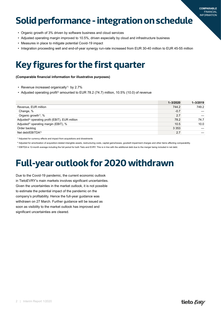# <span id="page-2-0"></span>**Solid performance - integration on schedule**

- Organic growth of 3% driven by software business and cloud services
- Adjusted operating margin improved to 10.5%, driven especially by cloud and infrastructure business
- Measures in place to mitigate potential Covid-19 impact
- Integration proceeding well and end-of-year synergy run-rate increased from EUR 30-40 million to EUR 45-55 million

# **Key figures for the first quarter**

**(Comparable financial information for illustrative purposes)**

- Revenue increased organically<sup>1)</sup> by 2.7%
- Adjusted operating profit<sup>2</sup> amounted to EUR 78.2 (74.7) million, 10.5% (10.0) of revenue

|                                                             | $1 - 3/2020$ | $1 - 3/2019$ |
|-------------------------------------------------------------|--------------|--------------|
| Revenue, EUR million                                        | 744.2        | 749.2        |
| Change, %                                                   | $-0.7$       |              |
| Organic growth <sup>1)</sup> , %                            | 2.7          |              |
| Adjusted <sup>2)</sup> operating profit (EBIT), EUR million | 78.2         | 74.7         |
| Adjusted <sup>2)</sup> operating margin (EBIT), %           | 10.5         | 10.0         |
| Order backlog                                               | 3 3 5 3      |              |
| Net debt/EBITDA3)                                           | 2.7          |              |

<sup>1)</sup> Adjusted for currency effects and impact from acquisitions and divestments

2) Adjusted for amortization of acquisition-related intangible assets, restructuring costs, capital gains/losses, goodwill impairment charges and other items affecting comparability.

3) EBITDA is 12-month average including the full period for both Tieto and EVRY. This is in line with the additional debt due to the merger being included in net debt

# **Full-year outlook for 2020 withdrawn**

Due to the Covid-19 pandemic, the current economic outlook in TietoEVRY's main markets involves significant uncertainties. Given the uncertainties in the market outlook, it is not possible to estimate the potential impact of the pandemic on the company's profitability. Hence the full-year guidance was withdrawn on 27 March. Further guidance will be issued as soon as visibility to the market outlook has improved and significant uncertainties are cleared.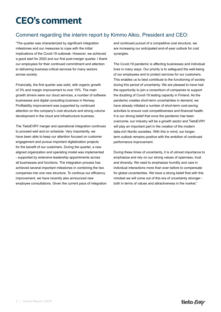# <span id="page-3-0"></span>**CEO's comment**

### Comment regarding the interim report by Kimmo Alkio, President and CEO:

"The quarter was characterized by significant integration milestones and our measures to cope with the initial implications of the Covid-19 outbreak. However, we achieved a good start for 2020 and our first post-merger quarter. I thank our employees for their continued commitment and attention to delivering business-critical services for many sectors across society.

Financially, the first quarter was solid, with organic growth of 3% and margin improvement to over 10%. The main growth drivers were our cloud services, a number of software businesses and digital consulting business in Norway. Profitability improvement was supported by continued attention on the company's cost structure and strong volume development in the cloud and infrastructure business.

The TietoEVRY merger and operational integration continues to proceed well and on schedule. Very importantly, we have been able to keep our attention focused on customer engagement and pursue important digitalization projects for the benefit of our customers. During the quarter, a new aligned organization and operating model was implemented - supported by extensive leadership appointments across all businesses and functions. The integration process has achieved several important milestones in combining the two companies into one new structure. To continue our efficiency improvement, we have recently also announced new employee consultations. Given the current pace of integration and continued pursuit of a competitive cost structure, we are increasing our anticipated end-of-year outlook for cost synergies.

The Covid-19 pandemic is affecting businesses and individual lives in many ways. Our priority is to safeguard the well-being of our employees and to protect services for our customers. This enables us to best contribute to the functioning of society during this period of uncertainty. We are pleased to have had the opportunity to join a consortium of companies to support the doubling of Covid-19 testing capacity in Finland. As the pandemic creates short-term uncertainties in demand, we have already initiated a number of short-term cost-saving activities to ensure cost competitiveness and financial health. It is our strong belief that once the pandemic has been overcome, our industry will be a growth sector and TietoEVRY will play an important part in the creation of the modern data-rich Nordic societies. With this in mind, our longerterm outlook remains positive with the ambition of continued performance improvement.

During these times of uncertainty, it is of utmost importance to emphasize and rely on our strong values of openness, trust and diversity. We need to emphasize humility and care in individual interactions more than ever before to compensate for global uncertainties. We have a strong belief that with this mindset we will come out of this era of uncertainty stronger both in terms of values and attractiveness in the market."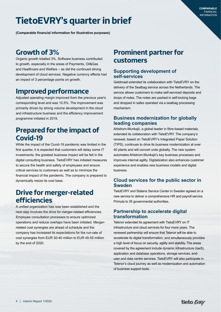# <span id="page-4-0"></span>**TietoEVRY's quarter in brief**

**(Comparable financial information for illustrative purposes)**

### **Growth of 3%**

Organic growth totalled 3%. Software business contributed to growth, especially in the areas of Payments, Oil&Gas and Healthcare and Welfare – as did the continued strong development of cloud services. Negative currency effects had an impact of 3 percentage points on growth.

### **Improved performance**

Adjusted operating margin improved from the previous year's corresponding level and was 10.5%. The improvement was primarily driven by strong volume development in the cloud and infrastructure business and the efficiency improvement programme initiated in 2019.

### **Prepared for the impact of Covid-19**

While the impact of the Covid-19 pandemic was limited in the first quarter, it is expected that customers will delay some IT investments; the greatest business impact will be felt in the digital consulting business. TietoEVRY has initiated measures to secure the health and safety of employees and ensure critical services to customers as well as to minimize the financial impact of the pandemic. The company is prepared to dynamically resize its cost base.

### **Drive for merger-related efficiencies**

A unified organization has now been established and the next step involves the drive for merger-related efficiencies. Employee consultation processes to ensure optimized operations and reduce overlaps have been initiated. Mergerrelated cost synergies are ahead of schedule and the company has increased its expectations for the run-rate of cost synergies from EUR 30-40 million to EUR 45-55 million by the end of 2020.

### **Prominent partner for customers**

#### **Supporting development of self-services**

Geldmaat extended its collaboration with TietoEVRY on the delivery of the Sealbag service across the Netherlands. The service allows customers to make self-serviced deposits and drops of notes. The notes are packed in self-locking bags and dropped in safes operated via a sealbag processing mechanism.

#### **Business modernization for globally leading companies**

Ahlstrom-Munksjö, a global leader in fibre-based materials, extended its collaboration with TietoEVRY. The company's renewal, based on TietoEVRY's Integrated Paper Solution (TIPS), continues to drive its business modernization at over 40 plants and will convert units globally. The new system automates Ahlstrom-Munksjö's key business processes and improves internal agility. Digitalization also enhances customer experience and enables new business models and digital business.

#### **Cloud services for the public sector in Sweden**

TietoEVRY and Statens Service Center in Sweden agreed on a new service to deliver a comprehensive HR and payroll service Primula to 35 governmental authorities.

#### **Partnership to accelerate digital transformation**

Telenor extended its agreement with TietoEVRY on IT infrastructure and cloud services for four more years. The renewed partnership will ensure that Telenor will be able to accelerate its digital transformation, and simultaneously provides a high level of focus on security, agility and stability. The areas covered by the agreement include dynamic infrastructure (IaaS), application and database operations, storage services, enduser and data centre services. TietoEVRY will also participate in Telenor's cloud journey as well as modernization and automation of business support tools.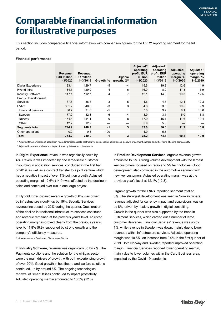# <span id="page-5-0"></span>**Comparable financial information for illustrative purposes**

This section includes comparable financial information with comparison figures for the EVRY reporting segment for the full period.

#### **Financial performance**

|                                 | Revenue.<br>$1 - 3/2020$ | Revenue,<br><b>EUR million EUR million</b><br>$1 - 3/2019$ | Growth, % | Organic<br>growth, $\frac{9}{2}$ | Adjusted $1$<br>operating<br>profit, EUR<br>million<br>$1 - 3/2020$ | Adiusted <sup>1</sup><br>operating<br>profit, EUR<br>million<br>$1 - 3/2019$ | Adjusted $\frac{1}{2}$<br>operating<br>margin, %<br>$1 - 3/2020$ | Adjusted <sup>1)</sup><br>operating<br>margin, %<br>$1 - 3/2019$ |
|---------------------------------|--------------------------|------------------------------------------------------------|-----------|----------------------------------|---------------------------------------------------------------------|------------------------------------------------------------------------------|------------------------------------------------------------------|------------------------------------------------------------------|
| <b>Digital Experience</b>       | 123.4                    | 129.7                                                      | -5        | -4                               | 15.6                                                                | 19.3                                                                         | 12.6                                                             | 14.9                                                             |
| Hybrid Infra                    | 134.7                    | 129.0                                                      | 4         | 6                                | 16.0                                                                | 8.9                                                                          | 11.8                                                             | 6.9                                                              |
| <b>Industry Software</b>        | 117.1                    | 112.7                                                      | 4         | 7                                | 12.1                                                                | 14.0                                                                         | 10.3                                                             | 12.5                                                             |
| Product Development<br>Services | 37.8                     | 36.8                                                       | 3         | 5                                | 4.6                                                                 | 4.5                                                                          | 12.1                                                             | 12.3                                                             |
| <b>EVRY</b>                     | 331.2                    | 340.8                                                      | $-3$      | 3                                | 34.8                                                                | 33.8                                                                         | 10.5                                                             | 9.9                                                              |
| <b>Financial Services</b>       | 86.7                     | 91.0                                                       | $-5$      | 1                                | 7.0                                                                 | 9.7                                                                          | 8.1                                                              | 10.6                                                             |
| Sweden                          | 77.9                     | 82.8                                                       | -6        | $-4$                             | 3.9                                                                 | 3.1                                                                          | 5.0                                                              | 3.8                                                              |
| Norway                          | 154.4                    | 154.1                                                      | 0         | 8                                | 17.9                                                                | 16.1                                                                         | 11.6                                                             | 10.4                                                             |
| Other                           | 12.2                     | 12.9                                                       |           |                                  | 5.9                                                                 | 5.0                                                                          | —                                                                |                                                                  |
| Segments total                  | 744.2                    | 748.9                                                      | $-1$      | 3                                | 83.0                                                                | 80.6                                                                         | 11.2                                                             | 10.8                                                             |
| Other operations                | 0.0                      | 0.3                                                        | $-100$    |                                  | $-4.9$                                                              | $-5.8$                                                                       |                                                                  |                                                                  |
| Total                           | 744.2                    | 749.2                                                      | $-1$      | 3                                | 78.2                                                                | 74.7                                                                         | 10.5                                                             | 10.0                                                             |

1) Adjusted for amortization of acquisition-related intangible assets, restructuring costs, capital gains/losses, goodwill impairment charges and other items affecting comparability

<sup>2)</sup> Adjusted for currency effects and impact from acquisitions and divestments

In **Digital Experience**, revenue was organically down by 4%. Revenue was impacted by one large-scale customer insourcing in application services, concluded in the first half of 2019, as well as a contract transfer to a joint venture which had a negative impact of over 1%-point on growth. Adjusted operating margin of 12.6% (14.9) was affected by the decline in sales and continued over-run in one large project.

In **Hybrid Infra**, organic revenue growth of 6% was driven by infrastructure cloud<sup>2</sup>, up by 19%. Security Services' revenue increased by 22% during the quarter. Deceleration of the decline in traditional infrastructure services continued and revenue remained at the previous year's level. Adjusted operating margin improved clearly from the previous year's level to 11.8% (6.9), supported by strong growth and the company's efficiency measures.

2) Infrastructure as a Service and Platform as a Service

In **Industry Software**, revenue was organically up by 7%. The Payments solutions and the solution for the oil&gas sector were the main drivers of growth, with both experiencing growth of over 20%. Good growth in healthcare and welfare solutions continued, up by around 6%. The ongoing technological renewal of SmartUtilities continued to impact profitability. Adjusted operating margin amounted to 10.3% (12.5).

In **Product Development Services**, organic revenue growth amounted to 5%. Strong volume development with the largest key customers focused on radio and 5G technologies. Good development also continued in the automotive segment with new key customers. Adjusted operating margin was at the previous year's level at 12.1% (12.3).

Organic growth for the **EVRY** reporting segment totalled 3%. The strongest development was seen in Norway, where revenue adjusted for currency impact and acquisitions was up by 8%, driven by healthy growth in digital consulting. Growth in the quarter was also supported by the trend in Fulfilment Services, which carried out a number of large customer deliveries. Financial Services' revenue was up by 1%, while revenue in Sweden was down, mainly due to lower revenues within infrastructure services. Adjusted operating margin was 10.5%, an increase from 9.9% in the first quarter of 2019. Both Norway and Sweden reported improved operating margin. Financial Services reported lower operating margin, mainly due to lower volumes within the Card Business area, impacted by the Covid-19 pandemic.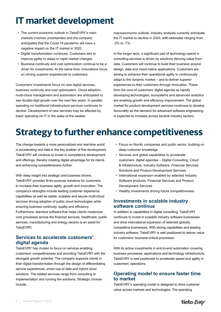# <span id="page-6-0"></span>**IT market development**

- The current economic outlook in TietoEVRY's main markets involves uncertainties and the company anticipates that the Covid-19 pandemic will have a negative impact on the IT market in 2020.
- Digital transformation continues. Customers aim to improve agility to adapt to rapid market changes.
- Business continuity and cost optimization continue to be a driver for investments. At the same time, innovations focus on driving superior experiences to customers.

Customers' investments focus on new digital services, business continuity and cost optimization. Cloud adoption, multi-cloud management and automation are anticipated to see double-digit growth over the next few years. In parallel, spending on traditional infrastructure services continues to decline. Development of new services may be affected by lower spending on IT in the wake of the weaker

macroeconomic outlook. Industry analysts currently anticipate the IT market to decline in 2020, with estimates ranging from -3% to -7%.

In the longer term, a significant part of technology spend in consulting services is driven by solutions deriving value from data. Customers will continue to build their business around design, data and cloud-native applications. Customers are aiming to enhance their operational agility to continuously adapt to the dynamic market – and to deliver superior experiences to their customers through innovation. These form the core of customers' digital agenda as rapidly developing technologies, ecosystems and advanced analytics are enabling growth and efficiency improvement. The global market for product development services continues to develop favourably as the demand for advanced software engineering is expected to increase across several industry sectors.

# **Strategy to further enhance competitiveness**

The change towards a more personalized and real-time world is accelerating and data is the key enabler of this development. TietoEVRY will continue to invest in competence development and offerings, thereby creating digital advantage for its clients and enhancing competitiveness further.

With deep insight into strategic and business drivers, TietoEVRY provides fit-for-purpose solutions for customers to increase their business agility, growth and innovation. The company's strengths include leading customer experience capabilities as well as stable, scalable and secure multi-cloud services driving adoption of public cloud technologies while ensuring business continuity, quality and efficiency. Furthermore, standout software that helps clients modernize core processes across the financial services, healthcare, public services, manufacturing and energy sectors is an asset for TietoEVRY.

#### **Services to accelerate customers' digital agenda**

TietoEVRY has chosen to focus on services enabling customers' competitiveness and providing TietoEVRY with the strongest growth potential. The company supports clients in their digital transformation through the design of differentiating service experiences, smart use of data and hybrid cloud solutions. The related services range from consulting to implementation and running the solutions. Strategic choices include:

- Focus on Nordic companies and public sector, building on deep customer knowledge
- Services and global capabilities to accelerate customers' digital agendas – Digital Consulting, Cloud & Infrastructure, Industry Software, Financial Services Solutions and Product Development Services
- International expansion enabled by selected Industry Software products, Financial Services and Product Development Services
- Healthy investments driving future competitiveness

#### **Investments in scalable industry software continue**

In addition to capabilities in digital consulting, TietoEVRY continues to invest in scalable industry software businesses and drive international expansion of selected globally competitive businesses. With strong capabilities and leading industry software, TietoEVRY is well positioned to deliver value for customers' business-critical processes.

With its active investments in end-to-end automation covering business processes, applications and technology infrastructure, TietoEVRY is well positioned to accelerate speed and agility in customers' operations.

#### **Operating model to ensure faster time to market**

TietoEVRY's operating model is designed to drive customer value across markets and technologies. The operating

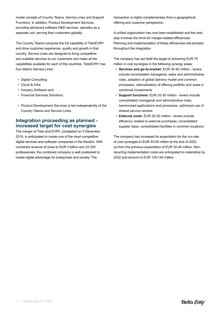model consists of Country Teams, Service Lines and Support Functions. In addition, Product Development Services, providing advanced software R&D services, operates as a separate unit, serving their customers globally.

The Country Teams comprise the full capability of TietoEVRY and drive customer experience, quality and growth in that country. Service Lines are designed to bring competitive and scalable services to our customers and make all the capabilities available for each of the countries. TietoEVRY has four distinct Service Lines:

- Digital Consulting
- Cloud & Infra
- Industry Software and
- Financial Services Solutions.
- Product Development Services is led independently of the Country Teams and Service Lines.

#### **Integration proceeding as planned increased target for cost synergies**

The merger of Tieto and EVRY, completed on 5 December 2019, is anticipated to create one of the most competitive digital services and software companies in the Nordics. With combined revenue of close to EUR 3 billion and 24 000 professionals, the combined company is well positioned to create digital advantage for enterprises and society. The

transaction is highly complementary from a geographical, offering and customer perspective.

A unified organization has now been established and the next step involves the drive for merger-related efficiencies. Planning and implementation of these efficiencies will proceed throughout the integration.

The company has set itself the target of achieving EUR 75 million in cost synergies in the following synergy areas:

- **Services and go-to-market:** EUR 30-40 million levers include consolidated managerial, sales and administrative roles, adoption of global delivery model and common processes, rationalization of offering portfolio and scale in combined investments
- **Support functions:** EUR 20-30 million levers include consolidated managerial and administrative roles, harmonized applications and processes, optimized use of shared service centres
- **External costs:** EUR 20-30 million levers include efficiency related to external purchases, consolidated supplier base, consolidated facilities in common locations.

The company has increased its expectation for the run-rate of cost synergies to EUR 45-55 million at the end of 2020, up from the previous expectation of EUR 30-40 million. Nonrecurring implementation costs are anticipated to materialize by 2022 and amount to EUR 120-140 million.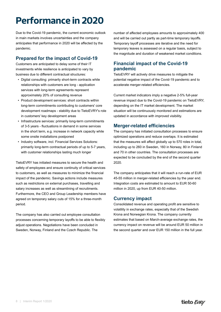# <span id="page-8-0"></span>**Performance in 2020**

Due to the Covid-19 pandemic, the current economic outlook in main markets involves uncertainties and the company anticipates that performance in 2020 will be affected by the pandemic.

#### **Prepared for the impact of Covid-19**

Customers are anticipated to delay some of their IT investments while resilience is anticipated to vary by business due to different contractual structures:

- Digital consulting: primarily short-term contracts while relationships with customers are long - application services with long-term agreements represent approximately 20% of consulting revenue
- Product development services: short contracts within long-term commitments contributing to customers' core development roadmaps - stability due to TietoEVRY's role in customers' key development areas
- Infrastructure services: primarily long-term commitments of 3-5 years - fluctuations in demand in some services in the short term, e.g. increase in network capacity while some onsite installations postponed
- Industry software, incl. Financial Services Solutions: primarily long-term contractual periods of up to 5-7 years, with customer relationships lasting much longer

TietoEVRY has initiated measures to secure the health and safety of employees and ensure continuity of critical services to customers, as well as measures to minimize the financial impact of the pandemic. Savings actions include measures such as restrictions on external purchases, travelling and salary increases as well as streamlining of recruitments. Furthermore, the CEO and Group Leadership members have agreed on temporary salary cuts of 15% for a three-month period.

The company has also carried out employee consultation processes concerning temporary layoffs to be able to flexibly adjust operations. Negotiations have been concluded in Sweden, Norway, Finland and the Czech Republic. The

number of affected employees amounts to approximately 400 and will be carried out partly as part-time temporary layoffs. Temporary layoff processes are iterative and the need for temporary leaves is assessed on a regular basis, subject to the magnitude and duration of weakened market conditions.

#### **Financial impact of the Covid-19 pandemic**

TietoEVRY will actively drive measures to mitigate the potential negative impact of the Covid-19 pandemic and to accelerate merger-related efficiencies.

Current market indicators imply a negative 2-5% full-year revenue impact due to the Covid-19 pandemic on TietoEVRY, depending on the IT market development. The market situation will be continuously monitored and estimations are updated in accordance with improved visibility.

#### **Merger-related efficiencies**

The company has initiated consultation processes to ensure optimized operations and reduce overlaps. It is estimated that the measures will affect globally up to 570 roles in total, including up to 260 in Sweden, 160 in Norway, 80 in Finland and 70 in other countries. The consultation processes are expected to be concluded by the end of the second quarter 2020.

The company anticipates that it will reach a run-rate of EUR 45-55 million in merger-related efficiencies by the year end. Integration costs are estimated to amount to EUR 50-60 million in 2020, up from EUR 40-50 million.

#### **Currency impact**

Consolidated revenue and operating profit are sensitive to volatility in exchange rates, especially that of the Swedish Krona and Norwegian Krona. The company currently estimates that based on March-average exchange rates, the currency impact on revenue will be around EUR 50 million in the second quarter and over EUR 150 million in the full year.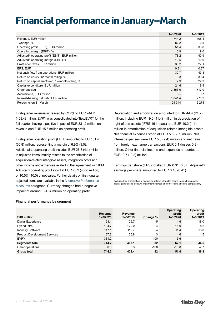# <span id="page-9-0"></span>**Financial performance in January–March**

|                                                             | $1 - 3/2020$ | $1 - 3/2019$ |
|-------------------------------------------------------------|--------------|--------------|
| Revenue, EUR million                                        | 744.2        | 408.4        |
| Change, %                                                   | 82.2         | 0.5          |
| Operating profit (EBIT), EUR million                        | 51.4         | 36.8         |
| Operating margin (EBIT), %                                  | 6.9          | 9.0          |
| Adjusted <sup>1)</sup> operating profit (EBIT), EUR million | 78.2         | 40.9         |
| Adjusted <sup>1)</sup> operating margin (EBIT), %           | 10.5         | 10.0         |
| Profit after taxes, EUR million                             | 36.2         | 27.1         |
| EPS, EUR                                                    | 0.31         | 0.37         |
| Net cash flow from operations, EUR million                  | 30.7         | 43.3         |
| Return on equity, 12-month rolling, %                       | 9.3          | 30.4         |
| Return on capital employed, 12-month rolling, %             | 7.9          | 22.3         |
| Capital expenditure, EUR million                            | 24.6         | 9.4          |
| Order backlog                                               | 3 3 5 3 .0   | 1 7 1 7 .0   |
| Acquisitions, EUR million                                   |              | 0.7          |
| Interest-bearing net debt, EUR million                      | 1 0 4 1 .4   | 273.2        |
| Personnel on 31 March                                       | 24 344       | 15 275       |

First-quarter revenue increased by 82.2% to EUR 744.2 (408.4) million. EVRY was consolidated into TietoEVRY for the full quarter, having a positive impact of EUR 331.2 million on revenue and EUR 15.6 million on operating profit.

First-quarter operating profit (EBIT) amounted to EUR 51.4 (36.8) million, representing a margin of 6.9% (9.0). Additionally, operating profit includes EUR 26.8 (4.1) million in adjusted items, mainly related to the amortization of acquisition‑related intangible assets, integration costs and other income and expenses related to the agreement with IBM. Adjusted<sup>1)</sup> operating profit stood at EUR 78.2 (40.9) million, or 10.5% (10.0) of net sales. Further details on first- quarter adjusted items are available in the Alternative [Performance](#page-27-0) [Measures](#page-27-0) paragraph. Currency changes had a negative impact of around EUR 4 million on operating profit.

Depreciation and amortization amounted to EUR 44.4 (24.2) million, including EUR 19.0 (11.4) million in depreciation of right of use assets (IFRS 16 impact) and EUR 10.2 (1.1) million in amortization of acquisition-related intangible assets. Net financial expenses stood at EUR 5.6 (2.7) million. Net interest expenses were EUR 5.0 (2.4) million and net gains from foreign exchange transactions EUR 0.1 (losses 0.3) million. Other financial income and expenses amounted to EUR -0.7 (-0.2) million.

Earnings per share (EPS) totalled EUR 0.31 (0.37). Adjusted<sup>1)</sup> earnings per share amounted to EUR 0.48 (0.41).

<sup>1)</sup> Adjusted for amortization of acquisition-related intangible assets, restructuring costs, capital gains/losses, goodwill impairment charges and other items affecting comparability.

#### **Financial performance by segment**

| <b>EUR million</b>                  | Revenue<br>$1 - 3/2020$ | Revenue<br>$1 - 3/2019$ | Change % | Operating<br>profit<br>$1 - 3/2020$ | Operating<br>profit<br>$1 - 3/2019$ |
|-------------------------------------|-------------------------|-------------------------|----------|-------------------------------------|-------------------------------------|
| <b>Digital Experience</b>           | 123.4                   | 129.7                   | -5       | 14.6                                | 18.0                                |
| Hybrid Infra                        | 134.7                   | 129.0                   | 4        | 16.0                                | 8.2                                 |
| <b>Industry Software</b>            | 117.1                   | 112.7                   | 4        | 11.4                                | 13.8                                |
| <b>Product Development Services</b> | 37.8                    | 36.8                    | 3        | 4.6                                 | 4.5                                 |
| <b>EVRY</b>                         | 331.2                   |                         | 100      | 15.6                                |                                     |
| Segments total                      | 744.2                   | 408.1                   | 82       | 62.1                                | 44.5                                |
| Other operations                    | 0.0                     | 0.3                     | $-100$   | $-10.8$                             | $-7.7$                              |
| Group total                         | 744.2                   | 408.4                   | 82       | 51.4                                | 36.8                                |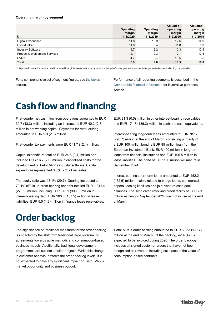#### <span id="page-10-0"></span>**Operating margin by segment**

| %                                   | Operating<br>margin<br>$1 - 3/2020$ | Operating<br>margin<br>$1 - 3/2019$ | Adjusted <sup>1)</sup><br>operating<br>margin<br>$1 - 3/2020$ | Adjusted <sup>1)</sup><br>operating<br>margin<br>$1 - 3/2019$ |
|-------------------------------------|-------------------------------------|-------------------------------------|---------------------------------------------------------------|---------------------------------------------------------------|
| <b>Digital Experience</b>           | 11.8                                | 13.9                                | 12.6                                                          | 14.9                                                          |
| Hybrid Infra                        | 11.9                                | 6.4                                 | 11.8                                                          | 6.9                                                           |
| <b>Industry Software</b>            | 9.7                                 | 12.2                                | 10.3                                                          | 12.5                                                          |
| <b>Product Development Services</b> | 12.1                                | 12.3                                | 12.1                                                          | 12.3                                                          |
| <b>EVRY</b>                         | 4.7                                 |                                     | 10.5                                                          |                                                               |
| <b>Total</b>                        | 6.9                                 | 9.0                                 | 10.5                                                          | 10.0                                                          |

1) Adjusted for amortization of acquisition-related intangible assets, restructuring costs, capital gains/losses, goodwill impairment charges and other items affecting comparability.

For a comprehensive set of segment figures, see the [tables](#page-15-0) [section.](#page-15-0)

Performance of all reporting segments is described in the [Comparable](#page-5-0) financial information for illustrative purposes section.

# **Cash flow and financing**

First-quarter net cash flow from operations amounted to EUR 30.7 (43.3) million, including an increase of EUR 40.2 (2.8) million in net working capital. Payments for restructuring amounted to EUR 5.3 (2.3) million.

First-quarter tax payments were EUR 11.7 (12.4) million.

Capital expenditure totalled EUR 24.6 (9.4) million and included EUR 16.7 (2.0) million in capitalized costs for the development of TietoEVRY's industry software. Capital expenditure represented 3.3% (2.3) of net sales.

The equity ratio was 43.1% (29.7). Gearing increased to 70.1% (67.9). Interest-bearing net debt totalled EUR 1 041.4 (273.2) million, including EUR 973.1 (303.8) million in interest-bearing debt, EUR 266.8 (157.5) million in lease liabilities, EUR 5.5 (1.3) million in finance lease receivables,

EUR 21.3 (0.5) million in other interest-bearing receivables and EUR 171.7 (186.3) million in cash and cash equivalents.

Interest-bearing long-term loans amounted to EUR 787.7 (298.7) million at the end of March, consisting primarily of a EUR 100 million bond, a EUR 85 million loan from the European Investment Bank, EUR 400 million in long-term loans from financial institutions and EUR 196.5 million in lease liabilities. The bond of EUR 100 million will mature in September 2024.

Interest-bearing short-term loans amounted to EUR 452.2 (162.6) million, mainly related to bridge loans, commercial papers, leasing liabilities and joint venture cash pool balances. The syndicated revolving credit facility of EUR 250 million expiring in September 2024 was not in use at the end of March.

### **Order backlog**

The significance of traditional measures for the order backlog is impacted by the shift from traditional large outsourcing agreements towards agile methods and consumption-based business models. Additionally, traditional development programmes are cut into smaller projects. While this change in customer behaviour affects the order backlog levels, it is not expected to have any significant impact on TietoEVRY's market opportunity and business outlook.

TietoEVRY's order backlog amounted to EUR 3 353 (1 717) million at the end of March. Of the backlog, 42% (47) is expected to be invoiced during 2020. The order backlog includes all signed customer orders that have not been recognized as revenue, including estimates of the value of consumption-based contracts.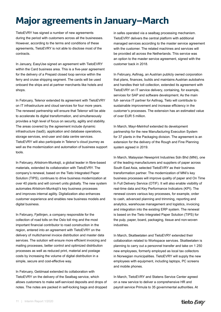# <span id="page-11-0"></span>**Major agreements in January–March**

TietoEVRY has signed a number of new agreements during the period with customers across all the businesses. However, according to the terms and conditions of these agreements, TietoEVRY is not able to disclose most of the contracts.

In January, EasyUse signed an agreement with TietoEVRY within the Card business area. This is a five-year agreement for the delivery of a Prepaid closed loop service within the ferry and cruise shipping segment. The cards will be used onboard the ships and at partner merchants like hotels and shops.

In February, Telenor extended its agreement with TietoEVRY on IT infrastructure and cloud services for four more years. The renewed partnership will ensure that Telenor will be able to accelerate its digital transformation, and simultaneously provides a high level of focus on security, agility and stability. The areas covered by the agreement include dynamic infrastructure (IaaS), application and database operations, storage services, end-user and data centre services. TietoEVRY will also participate in Telenor's cloud journey as well as the modernization and automation of business support tools.

In February, Ahlstrom-Munksjö, a global leader in fibre-based materials, extended its collaboration with TietoEVRY. The company's renewal, based on the Tieto Integrated Paper Solution (TIPS), continues to drive business modernization at over 40 plants and will convert units globally. The new system automates Ahlstrom-Munksjö's key business processes and improves internal agility. Digitalization also enhances customer experience and enables new business models and digital business.

In February, Fjellinjen, a company responsible for the collection of road tolls on the Oslo toll ring and the most important financial contributor to road construction in the region, entered into an agreement with TietoEVRY on the delivery of multichannel invoice distribution and master data services. The solution will ensure more efficient invoicing and mailing processes, better control and optimized distribution processes as well as reduced print, material and postage costs by increasing the volume of digital distribution in a simple, secure and cost-effective way.

In February, Geldmaat extended its collaboration with TietoEVRY on the delivery of the Sealbag service, which allows customers to make self-serviced deposits and drops of notes. The notes are packed in self-locking bags and dropped in safes operated via a sealbag processing mechanism. TietoEVRY delivers the central platform with additional managed services according to the master service agreement with the customer. The related machines and services will be provided all across the Netherlands. This service was an option to the master service agreement, signed with the customer back in 2018.

In February, Asfinag, an Austrian publicly owned corporation that plans, finances, builds and maintains Austrian autobahns and handles their toll collection, extended its agreement with TietoEVRY on IT service delivery, containing, for example, services for SAP and software development. As the main full- service IT partner for Asfinag, Tieto will contribute to sustainable improvement and increase efficiency in the customer's processes. The extension has an estimated value of over EUR 5 million.

In March, Mayr-Melnhof extended its development partnership for the new Manufacturing Execution System for 37 plants in the Packaging division. The agreement is an extension for the delivery of the Rough and Fine Planning system agreed in 2019.

In March, Malaysian Newsprint Industries Sdn Bhd (MNI), one of the leading manufacturers and suppliers of paper across South East Asia, selected TietoEVRY as their business transformation partner. The modernization of MNI's key business processes will improve quality of paper and On Time In Full Delivery Service (OTIF). It will also enable visibility of real-time data and Key Performance Indicators (KPI). The renewal covers various key processes, for example, order to cash, advanced planning and trimming, reporting and analytics, warehouse management and logistics, invoicing and integration into the existing ERP system. The renewal is based on the Tieto Integrated Paper Solution (TIPS) for the pulp, paper, board, packaging, tissue and non-woven industries.

In March, Skatteetaten and TietoEVRY extended their collaboration related to Workspace services. Skatteetaten is planning to carry out a personnel transfer and take on 1 250 new employees, formerly employed as local tax collectors in Norwegian municipalities. TietoEVRY will supply the new employees with equipment, including laptops, PC screens and mobile phones.

In March, TietoEVRY and Statens Service Center agreed on a new service to deliver a comprehensive HR and payroll service Primula to 35 governmental authorities. At

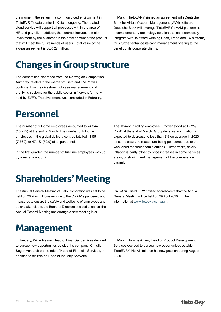<span id="page-12-0"></span>the moment, the set up in a common cloud environment in TietoEVRY's data center in Kista is ongoing. The related cloud service will support all processes within the area of HR and payroll. In addition, the contract includes a major investment by the customer in the development of the product that will meet the future needs of users. Total value of the 7-year agreement is SEK 27 million.

In March, TietoEVRY signed an agreement with Deutsche Bank for Virtual Account Management (VAM) software. Deutsche Bank will leverage TietoEVRY's VAM platform as a complementary technology solution that can seamlessly integrate with its award-winning Cash, Trade and FX platform, thus further enhance its cash management offering to the benefit of its corporate clients.

# **Changes in Group structure**

The competition clearance from the Norwegian Competition Authority, related to the merger of Tieto and EVRY, was contingent on the divestment of case management and archiving systems for the public sector in Norway, formerly held by EVRY. The divestment was concluded in February.

### **Personnel**

The number of full-time employees amounted to 24 344 (15 275) at the end of March. The number of full-time employees in the global delivery centres totalled 11 551 (7 769), or 47.4% (50.9) of all personnel.

In the first quarter, the number of full-time employees was up by a net amount of 21.

The 12-month rolling employee turnover stood at 12.2% (12.4) at the end of March. Group-level salary inflation is expected to decrease to less than 2% on average in 2020 as some salary increases are being postponed due to the weakened macroeconomic outlook. Furthermore, salary inflation is partly offset by price increases in some services areas, offshoring and management of the competence pyramid.

## **Shareholders' Meeting**

The Annual General Meeting of Tieto Corporation was set to be held on 26 March. However, due to the Covid-19 pandemic and measures to ensure the safety and wellbeing of employees and other stakeholders, the Board of Directors decided to cancel the Annual General Meeting and arrange a new meeting later.

On 8 April, TietoEVRY notified shareholders that the Annual General Meeting will be held on 29 April 2020. Further information at [www.tietoevry.com/agm](http://www.tietoevry.com/agm).

### **Management**

In January, Wiljar Nesse, Head of Financial Services decided to pursue new opportunities outside the company. Christian Segersven took on the role of Head of Financial Services, in addition to his role as Head of Industry Software.

In March, Tom Leskinen, Head of Product Development Services decided to pursue new opportunities outside TietoEVRY. He will take on his new position during August 2020.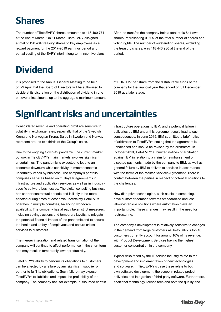# <span id="page-13-0"></span>**Shares**

The number of TietoEVRY shares amounted to 118 460 771 at the end of March. On 11 March, TietoEVRY assigned a total of 190 404 treasury shares to key employees as a reward payment for the 2017-2019 earnings period and partial vesting of the EVRY interim long-term incentive plans. After the transfer, the company held a total of 16 841 own shares, representing 0.01% of the total number of shares and voting rights. The number of outstanding shares, excluding the treasury shares, was 118 443 930 at the end of the period.

# **Dividend**

It is proposed to the Annual General Meeting to be held on 29 April that the Board of Directors will be authorized to decide at its discretion on the distribution of dividend in one or several instalments up to the aggregate maximum amount of EUR 1.27 per share from the distributable funds of the company for the financial year that ended on 31 December 2019 at a later stage.

## **Significant risks and uncertainties**

Consolidated revenue and operating profit are sensitive to volatility in exchange rates, especially that of the Swedish Krona and Norwegian Krona. Sales in Sweden and Norway represent around two thirds of the Group's sales.

Due to the ongoing Covid-19 pandemic, the current market outlook in TietoEVRY's main markets involves significant uncertainties. The pandemic is expected to lead to an economic downturn while sensitivity to macroeconomic uncertainty varies by business. The company's portfolio comprises services based on multi-year agreements in infrastructure and application services as well as in industryspecific software businesses. The digital consulting business has shorter contractual periods and is likely to be more affected during times of economic uncertainty.TietoEVRY operates in multiple countries, balancing workforce availability. The company has already taken strict measures, including savings actions and temporary layoffs, to mitigate the potential financial impact of the pandemic and to secure the health and safety of employees and ensure critical services to customers.

The merger integration and related transformation of the company will continue to affect performance in the short term and may result in temporarily lower productivity.

TietoEVRY's ability to perform its obligations to customers can be affected by a failure by any significant supplier or partner to fulfil its obligations. Such failure may expose TietoEVRY to liabilities and impact the profitability of the company. The company has, for example, outsourced certain infrastructure operations to IBM, and a potential failure in deliveries by IBM under this agreement could lead to such consequences. In June 2019, IBM submitted a brief notice of arbitration to TietoEVRY, stating that the agreement is unbalanced and should be revised by the arbitrators. In October 2019, TietoEVRY submitted notices of arbitration against IBM in relation to a claim for reimbursement of disputed payments made by the company to IBM, as well as general failure by IBM to deliver its services in accordance with the terms of the Master Services Agreement. There is contact between the parties in respect of potential solutions to the challenges.

New disruptive technologies, such as cloud computing, drive customer demand towards standardized and less labour‑intensive solutions where automation plays an important role. These changes may result in the need for restructuring.

The company's development is relatively sensitive to changes in the demand from large customers as TietoEVRY's top 10 customers currently account for around 16% of its revenue, with Product Development Services having the highest customer concentration in the company.

Typical risks faced by the IT service industry relate to the development and implementation of new technologies and software. In TietoEVRY's case these relate to both own software development, the scope in related project deliveries and integration of third-party software. Furthermore, additional technology licence fees and both the quality and

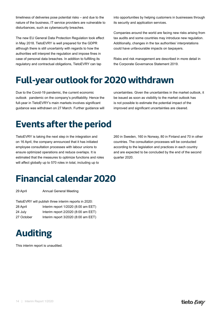14 | Interim Report 1/2020

<span id="page-14-0"></span>timeliness of deliveries pose potential risks – and due to the nature of the business, IT service providers are vulnerable to disturbances, such as cybersecurity breaches.

The new EU General Data Protection Regulation took effect in May 2018. TietoEVRY is well prepared for the GDPR although there is still uncertainty with regards to how the authorities will interpret the regulation and impose fines in case of personal data breaches. In addition to fulfilling its regulatory and contractual obligations, TietoEVRY can tap

into opportunities by helping customers in businesses through its security and application services.

Companies around the world are facing new risks arising from tax audits and some countries may introduce new regulation. Additionally, changes in the tax authorities' interpretations could have unfavourable impacts on taxpayers.

Risks and risk management are described in more detail in the Corporate Governance Statement 2019.

### **Full-year outlook for 2020 withdrawn**

Due to the Covid-19 pandemic, the current economic outlook pandemic on the company's profitability. Hence the full-year in TietoEVRY's main markets involves significant guidance was withdrawn on 27 March. Further guidance will uncertainties. Given the uncertainties in the market outlook, it be issued as soon as visibility to the market outlook has is not possible to estimate the potential impact of the improved and significant uncertainties are cleared.

# **Events after the period**

TietoEVRY is taking the next step in the integration and on 16 April, the company announced that it has initiated employee consultation processes with labour unions to ensure optimized operations and reduce overlaps. It is estimated that the measures to optimize functions and roles will affect globally up to 570 roles in total, including up to

260 in Sweden, 160 in Norway, 80 in Finland and 70 in other countries. The consultation processes will be conducted according to the legislation and practices in each country and are expected to be concluded by the end of the second quarter 2020.

# **Financial calendar 2020**

29 April **Annual General Meeting** 

| TietoEVRY will publish three interim reports in 2020: |                                     |  |  |  |  |  |
|-------------------------------------------------------|-------------------------------------|--|--|--|--|--|
| 28 April                                              | Interim report 1/2020 (8:00 am EET) |  |  |  |  |  |
| 24 July                                               | Interim report 2/2020 (8:00 am EET) |  |  |  |  |  |
| 27 October                                            | Interim report 3/2020 (8:00 am EET) |  |  |  |  |  |

# **Auditing**

This interim report is unaudited.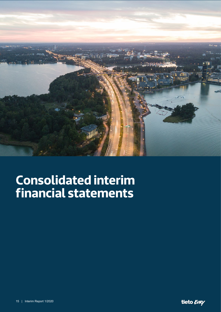<span id="page-15-0"></span>

# **Consolidated interim financial statements**

15 | Interim Report 1/2020

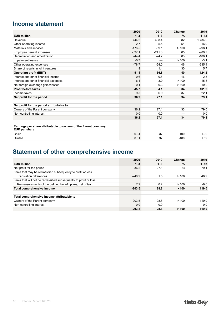### <span id="page-16-0"></span>**Income statement**

|                                                                                          | 2020     | 2019     | Change        | 2019      |
|------------------------------------------------------------------------------------------|----------|----------|---------------|-----------|
| <b>EUR million</b>                                                                       | $1 - 3$  | $1 - 3$  | $\frac{0}{0}$ | $1 - 12$  |
| Revenue                                                                                  | 744.2    | 408.4    | 82            | 1 7 3 4 0 |
| Other operating income                                                                   | 2.7      | 5.5      | $-51$         | 16.9      |
| Materials and services                                                                   | $-176.5$ | $-59.1$  | >100          | $-298.1$  |
| Employee benefit expenses                                                                | $-397.1$ | $-241.3$ | 65            | $-989.7$  |
| Depreciation and amortization                                                            | $-44.4$  | $-24.2$  | 83            | $-106.1$  |
| Impairment losses                                                                        | $-0.7$   |          | >100          | $-3.1$    |
| Other operating expenses                                                                 | $-78.7$  | $-54.0$  | 46            | $-235.4$  |
| Share of results in joint ventures                                                       | 1.9      | 1.4      | 30            | 5.7       |
| <b>Operating profit (EBIT)</b>                                                           | 51.4     | 36.8     | 40            | 124.2     |
| Interest and other financial income                                                      | 0.6      | 0.6      | 16            | 2.3       |
| Interest and other financial expenses                                                    | $-6.4$   | $-3.0$   | >100          | $-15.3$   |
| Net foreign exchange gains/losses                                                        | 0.1      | $-0.3$   | >100          | $-10.0$   |
| <b>Profit before taxes</b>                                                               | 45.7     | 34.1     | 34            | 101.2     |
| Income taxes                                                                             | $-9.5$   | $-6.9$   | 37            | $-22.1$   |
| Net profit for the period                                                                | 36.2     | 27.1     | 34            | 79.1      |
|                                                                                          |          |          |               |           |
| Net profit for the period attributable to                                                |          |          |               |           |
| Owners of the Parent company                                                             | 36.2     | 27.1     | 33            | 79.0      |
| Non-controlling interest                                                                 | 0.0      | 0.0      |               | 0.0       |
|                                                                                          | 36.2     | 27.1     | 34            | 79.1      |
|                                                                                          |          |          |               |           |
| Earnings per share attributable to owners of the Parent company,<br><b>EUR per share</b> |          |          |               |           |
| Basic                                                                                    | 0.31     | 0.37     | $-100$        | 1.02      |
| <b>Diluted</b>                                                                           | 0.31     | 0.37     | $-100$        | 1.02      |

### **Statement of other comprehensive income**

|                                                                    | 2020     | 2019    | Change        | 2019     |
|--------------------------------------------------------------------|----------|---------|---------------|----------|
| <b>EUR million</b>                                                 | $1 - 3$  | $1 - 3$ | $\frac{9}{6}$ | $1 - 12$ |
| Net profit for the period                                          | 36.2     | 27.1    | 34            | 79.1     |
| Items that may be reclassified subsequently to profit or loss      |          |         |               |          |
| Translation differences                                            | $-246.9$ | 1.5     | >100          | 48.9     |
| Items that will not be reclassified subsequently to profit or loss |          |         |               |          |
| Remeasurements of the defined benefit plans, net of tax            | 7.2      | 0.2     | >100          | $-9.0$   |
| Total comprehensive income                                         | $-203.5$ | 28.8    | >100          | 119.0    |
| Total comprehensive income attributable to                         |          |         |               |          |
| Owners of the Parent company                                       | $-203.5$ | 28.8    | >100          | 119.0    |
| Non-controlling interest                                           | 0.0      | 0.0     |               | 0.0      |
|                                                                    | $-203.5$ | 28.8    | > 100         | 119.0    |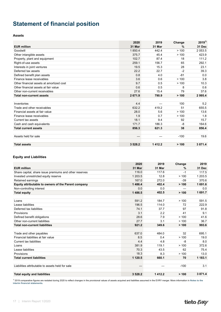### <span id="page-17-0"></span>**Statement of financial position**

#### **Assets**

|                                          | 2020     | 2019   | Change        | $2019^{1}$ |
|------------------------------------------|----------|--------|---------------|------------|
| <b>EUR million</b>                       | 31 Mar   | 31 Mar | $\frac{0}{0}$ | 31 Dec     |
| Goodwill                                 | 1850.4   | 442.4  | >100          | 2 0 5 3 5  |
| Other intangible assets                  | 375.7    | 45.4   | >100          | 423.9      |
| Property, plant and equipment            | 102.7    | 87.4   | 18            | 111.2      |
| Right-of-use assets                      | 259.1    | 156.7  | 65            | 292.1      |
| Interests in joint ventures              | 19.5     | 15.3   | 28            | 23.1       |
| Deferred tax assets                      | 22.2     | 22.7   | $-2$          | 39.3       |
| Defined benefit plan assets              | 0.8      | 4.0    | $-81$         | 0.0        |
| Finance lease receivables                | 3.6      | 0.6    | >100          | 3.8        |
| Other financial assets at amortized cost | 9.7      | 0.5    | >100          | 10.3       |
| Other financial assets at fair value     | 0.6      | 0.5    | 8             | 0.6        |
| Other non-current receivables            | 27.6     | 15.4   | 79            | 37.6       |
| <b>Total non-current assets</b>          | 2671.9   | 790.9  | > 100         | 2 995.4    |
|                                          |          |        |               |            |
| Inventories                              | 4.4      |        | 100           | 5.2        |
| Trade and other receivables              | 632.2    | 419.2  | 51            | 655.5      |
| Financial assets at fair value           | 28.0     | 5.6    | >100          | 13.6       |
| Finance lease receivables                | 1.9      | 0.7    | >100          | 1.8        |
| Current tax assets                       | 18.1     | 9.4    | 92            | 15.7       |
| Cash and cash equivalents                | 171.7    | 186.3  | $-8$          | 164.6      |
| <b>Total current assets</b>              | 856.3    | 621.3  | 38            | 856.4      |
|                                          |          |        |               |            |
| Assets held for sale                     |          |        | $-100$        | 19.6       |
|                                          |          |        |               |            |
| <b>Total assets</b>                      | 3 5 28.2 | 1412.2 | > 100         | 3 871.4    |

#### **Equity and Liabilities**

|                                                        | 2020     | 2019   | Change | 2019    |
|--------------------------------------------------------|----------|--------|--------|---------|
| <b>EUR million</b>                                     | 31 Mar   | 31 Mar | %      | 31 Dec  |
| Share capital, share issue premiums and other reserves | 116.0    | 117.6  | $-1$   | 117.5   |
| Invested unrestricted equity reserve                   | 1 203.5  | 12.8   | >100   | 1 203.5 |
| Retained earnings                                      | 167.0    | 272.0  | $-39$  | 370.6   |
| Equity attributable to owners of the Parent company    | 1486.4   | 402.4  | > 100  | 1691.6  |
| Non-controlling interest                               | 0.0      | 0.0    |        | 0.0     |
| <b>Total equity</b>                                    | 1486.5   | 402.5  | > 100  | 1691.7  |
|                                                        |          |        |        |         |
| Loans                                                  | 591.2    | 184.7  | >100   | 591.5   |
| Lease liabilities                                      | 196.5    | 114.0  | 72     | 222.9   |
| Deferred tax liabilities                               | 74.1     | 37.7   | 97     | 91.8    |
| Provisions                                             | 3.1      | 2.2    | 41     | 9.1     |
| Defined benefit obligations                            | 28.6     | 7.9    | >100   | 41.6    |
| Other non-current liabilities                          | 27.7     | 3.1    | >100   | 36.7    |
| <b>Total non-current liabilities</b>                   | 921.2    | 349.6  | > 100  | 993.6   |
|                                                        |          |        |        |         |
| Trade and other payables                               | 637.0    | 484.0  | 32     | 695.1   |
| Financial liabilities at fair value                    | 8.5      | 0.4    | >100   | 19.0    |
| Current tax liabilities                                | 4.4      | 4.8    | -8     | 8.0     |
| Loans                                                  | 381.9    | 119.1  | >100   | 372.6   |
| Lease liabilities                                      | 70.3     | 43.5   | 62     | 75.4    |
| Provisions                                             | 18.3     | 8.3    | >100   | 13.0    |
| <b>Total current liabilities</b>                       | 1 120.5  | 660.1  | 70     | 1 183.1 |
|                                                        |          |        |        |         |
| Liabilities attributable to assets held for sale       |          |        | $-100$ | 3.1     |
|                                                        |          |        |        |         |
| <b>Total equity and liabilities</b>                    | 3 5 28.2 | 1412.2 | > 100  | 3871.4  |

<sup>1)</sup> 2019 comparative figures are restated during 2020 to reflect changes in the provisional values of assets acquired and liabilities assumed in the EVRY merger. More information in Notes to the<br>Interim financial statemen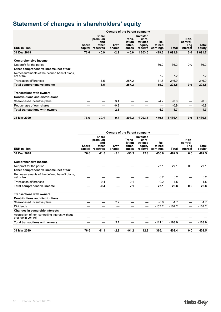### <span id="page-18-0"></span>**Statement of changes in shareholders' equity**

| <b>Owners of the Parent company</b>                                       |                         |                                                     |               |                                      |                                                    |                           |              |                                      |                        |
|---------------------------------------------------------------------------|-------------------------|-----------------------------------------------------|---------------|--------------------------------------|----------------------------------------------------|---------------------------|--------------|--------------------------------------|------------------------|
| <b>EUR million</b>                                                        | <b>Share</b><br>capital | <b>Share</b><br>premium<br>and<br>other<br>reserves | Own<br>shares | Trans-<br>lation<br>differ-<br>ences | Invested<br>unre-<br>stricted<br>equity<br>reserve | Re-<br>tained<br>earnings | <b>Total</b> | Non-<br>control-<br>ling<br>interest | <b>Total</b><br>equity |
| 31 Dec 2019                                                               | 76.6                    | 40.9                                                | $-2.9$        | $-46.0$                              | 1 203.5                                            | 419.6                     | 1691.6       | 0.0                                  | 1 691.7                |
| <b>Comprehensive income</b>                                               |                         |                                                     |               |                                      |                                                    |                           |              |                                      |                        |
| Net profit for the period                                                 |                         |                                                     |               |                                      |                                                    | 36.2                      | 36.2         | 0.0                                  | 36.2                   |
| Other comprehensive income, net of tax                                    |                         |                                                     |               |                                      |                                                    |                           |              |                                      |                        |
| Remeasurements of the defined benefit plans,<br>net of tax                |                         |                                                     |               |                                      |                                                    | 7.2                       | 7.2          |                                      | 7.2                    |
| <b>Translation differences</b>                                            |                         | $-1.5$                                              |               | $-257.2$                             |                                                    | 11.8                      | $-246.9$     |                                      | $-246.9$               |
| Total comprehensive income                                                |                         | $-1.5$                                              | –             | $-257.2$                             |                                                    | 55.2                      | $-203.5$     | 0.0                                  | $-203.5$               |
| <b>Transactions with owners</b><br><b>Contributions and distributions</b> |                         |                                                     |               |                                      |                                                    |                           |              |                                      |                        |
| Share-based incentive plans                                               |                         | —                                                   | 3.4           |                                      |                                                    | $-4.2$                    | $-0.8$       |                                      | $-0.8$                 |
| Repurchase of own shares                                                  |                         | —                                                   | $-0.9$        |                                      |                                                    |                           | $-0.9$       |                                      | $-0.9$                 |
| <b>Total transactions with owners</b>                                     |                         | –                                                   | 2.5           |                                      |                                                    | $-4.2$                    | $-1.7$       | –                                    | $-1.7$                 |
| 31 Mar 2020                                                               | 76.6                    | 39.4                                                | $-0.4$        | $-303.2$                             | 1 203.5                                            | 470.5                     | 1486.4       | 0.0                                  | 1486.5                 |

|                                                                      | <b>Owners of the Parent company</b> |                                                     |               |                                      |                                                    |                           |          |                                      |                        |
|----------------------------------------------------------------------|-------------------------------------|-----------------------------------------------------|---------------|--------------------------------------|----------------------------------------------------|---------------------------|----------|--------------------------------------|------------------------|
| <b>EUR million</b>                                                   | <b>Share</b><br>capital             | <b>Share</b><br>premium<br>and<br>other<br>reserves | Own<br>shares | Trans-<br>lation<br>differ-<br>ences | Invested<br>unre-<br>stricted<br>equity<br>reserve | Re-<br>tained<br>earnings | Total    | Non-<br>control-<br>lina<br>interest | <b>Total</b><br>equity |
| 31 Dec 2018                                                          | 76.6                                | 41.5                                                | $-5.1$        | $-93.3$                              | 12.8                                               | 450.0                     | 482.5    | 0.0                                  | 482.5                  |
| <b>Comprehensive income</b>                                          |                                     |                                                     |               |                                      |                                                    |                           |          |                                      |                        |
| Net profit for the period                                            |                                     |                                                     |               |                                      |                                                    | 27.1                      | 27.1     | 0.0                                  | 27.1                   |
| Other comprehensive income, net of tax                               |                                     |                                                     |               |                                      |                                                    |                           |          |                                      |                        |
| Remeasurements of the defined benefit plans,<br>net of tax           |                                     |                                                     |               |                                      |                                                    | 0.2                       | 0.2      |                                      | 0.2                    |
| <b>Translation differences</b>                                       |                                     | $-0.4$                                              |               | 2.1                                  |                                                    | $-0.2$                    | 1.5      |                                      | 1.5                    |
| Total comprehensive income                                           |                                     | $-0.4$                                              |               | 2.1                                  | –                                                  | 27.1                      | 28.8     | 0.0                                  | 28.8                   |
| <b>Transactions with owners</b>                                      |                                     |                                                     |               |                                      |                                                    |                           |          |                                      |                        |
| <b>Contributions and distributions</b>                               |                                     |                                                     |               |                                      |                                                    |                           |          |                                      |                        |
| Share-based incentive plans                                          |                                     |                                                     | 2.2           |                                      |                                                    | $-3.9$                    | $-1.7$   |                                      | $-1.7$                 |
| <b>Dividends</b>                                                     |                                     |                                                     |               |                                      |                                                    | $-107.2$                  | $-107.2$ |                                      | $-107.2$               |
| Changes in ownership interests                                       |                                     |                                                     |               |                                      |                                                    |                           |          |                                      |                        |
| Acquisition of non-controlling interest without<br>change in control |                                     |                                                     |               |                                      |                                                    |                           |          |                                      |                        |
| <b>Total transactions with owners</b>                                |                                     | –                                                   | 2.2           |                                      | –                                                  | $-111.1$                  | $-108.9$ | _                                    | $-108.9$               |
| 31 Mar 2019                                                          | 76.6                                | 41.1                                                | $-2.9$        | $-91.2$                              | 12.8                                               | 366.1                     | 402.4    | 0.0                                  | 402.5                  |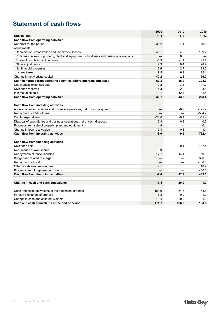### <span id="page-19-0"></span>**Statement of cash flows**

|                                                                                            | 2020    | 2019     | 2019             |
|--------------------------------------------------------------------------------------------|---------|----------|------------------|
| <b>EUR million</b>                                                                         | $1 - 3$ | $1 - 3$  | $1 - 12$         |
| Cash flow from operating activities                                                        |         |          |                  |
| Net profit for the period                                                                  | 36.2    | 27.1     | 79.1             |
| Adjustments                                                                                |         |          |                  |
| Depreciation, amortization and impairment losses                                           | 45.1    | 24.2     | 109.2            |
| Profit/loss on sale of property, plant and equipment, subsidiaries and business operations |         | 0.0      |                  |
| Share of results in joint ventures                                                         | $-1.9$  | $-1.4$   | $-5.7$           |
| Other adjustments                                                                          | 2.9     | 0.1      | 28.9             |
| Net financial expenses                                                                     | 5.6     | 2.7      | 23.0             |
| Income taxes                                                                               | 9.5     | 6.9      | 22.1             |
| Change in net working capital                                                              | $-40.2$ | $-2.8$   | 66.7             |
| Cash generated from operating activities before interests and taxes                        | 57.3    | 56.9     | 323.3            |
| Net financial expenses paid                                                                | $-19.2$ | $-3.5$   | $-17.2$          |
| Dividends received                                                                         | 4.3     | 2.2      | 3.6              |
| Income taxes paid                                                                          | $-11.7$ | $-12.4$  | $-31.4$          |
| Cash flow from operating activities                                                        | 30.7    | 43.3     | 278.4            |
|                                                                                            |         |          |                  |
| Cash flow from investing activities                                                        |         |          |                  |
| Acquisition of subsidiaries and business operations, net of cash acquired                  |         | $-0.7$   | $-175.7$         |
| Repayment of EVRY loans                                                                    |         |          | $-534.2$         |
| Capital expenditure                                                                        | $-24.6$ | $-9.4$   | $-51.4$          |
| Disposal of subsidiaries and business operations, net of cash disposed                     | 15.3    | 0.3      | 0.3              |
| Proceeds from sale of property, plant and equipment                                        | 1.8     |          | 0.1              |
| Change in loan receivables                                                                 | $-0.4$  | 0.3      | $-1.4$           |
| Cash flow from investing activities                                                        | $-8.0$  | $-9.5$   | $-762.4$         |
|                                                                                            |         |          |                  |
| Cash flow from financing activities<br>Dividends paid                                      |         | $-0.1$   | $-107.4$         |
|                                                                                            | $-0.9$  |          |                  |
| Repurchase of own shares                                                                   |         | $-14.1$  |                  |
| Repayments of lease liabilities                                                            | $-17.7$ |          | $-50.3$<br>300.0 |
| Bridge loan related to merger                                                              | —       | $\equiv$ | $-100.0$         |
| Repayment of bond<br>Other short-term financing, net                                       | 9.1     | 1.3      | 40.7             |
| Proceeds from long-term borrowings                                                         |         |          | 400.0            |
|                                                                                            |         | $-12.9$  |                  |
| Cash flow from financing activities                                                        | $-9.4$  |          | 483.0            |
| Change in cash and cash equivalents                                                        | 13.4    | 20.9     | $-1.0$           |
|                                                                                            |         |          |                  |
| Cash and cash equivalents at the beginning of period                                       | 164.6   | 164.6    | 164.6            |
| Foreign exchange differences                                                               | $-6.3$  | 0.9      | 1.0              |
| Change in cash and cash equivalents                                                        | 13.4    | 20.9     | $-1.0$           |
| Cash and cash equivalents at the end of period                                             | 171.7   | 186.3    | 164.6            |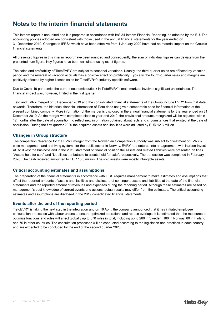### <span id="page-20-0"></span>**Notes to the interim financial statements**

This interim report is unaudited and it is prepared in accordance with IAS 34 Interim Financial Reporting, as adopted by the EU. The accounting policies adopted are consistent with those used in the annual financial statements for the year ended on 31 December 2019. Changes to IFRSs which have been effective from 1 January 2020 have had no material impact on the Group's financial statements.

All presented figures in this interim report have been rounded and consequently, the sum of individual figures can deviate from the presented sum figure. Key figures have been calculated using exact figures.

The sales and profitability of TietoEVRY are subject to seasonal variations. Usually, the third-quarter sales are affected by vacation period and the reversal of vacation accruals has a positive effect on profitability. Typically, the fourth-quarter sales and margins are positively affected by higher licence sales for TietoEVRY's industry-specific software.

Due to Covid-19 pandemic, the current economic outlook in TietoEVRY's main markets involves significant uncertainties. The financial impact was, however, limited in the first quarter.

Tieto and EVRY merged on 5 December 2019 and the consolidated financial statements of the Group include EVRY from that date onwards. Therefore, the historical financial information of Tieto does not give a comparable base for financial information of the present combined company. More information of the merger is disclosed in the annual financial statements for the year ended on 31 December 2019. As the merger was completed close to year-end 2019, the provisional amounts recognized will be adjusted within 12 months after the date of acquisition, to reflect new information obtained about facts and circumstances that existed at the date of acquisition. During the first quarter 2020 the acquired assets and liabilities were adjusted by EUR 12.3 million.

#### **Changes in Group structure**

The competition clearance for the EVRY merger from the Norwegian Competition Authority was subject to divestment of EVRY's case management and archiving systems for the public sector in Norway. EVRY had entered into an agreement with Karbon Invest AS to divest the business and in the 2019 statement of financial position the assets and related liabilities were presented on lines "Assets held for sale" and "Liabilities attributable to assets held for sale", respectively. The transaction was completed in February 2020. The cash received amounted to EUR 15.3 million. The sold assets were mostly intangible assets.

#### **Critical accounting estimates and assumptions**

The preparation of the financial statements in accordance with IFRS requires management to make estimates and assumptions that affect the reported amounts of assets and liabilities and disclosure of contingent assets and liabilities at the date of the financial statements and the reported amount of revenues and expenses during the reporting period. Although these estimates are based on management's best knowledge of current events and actions, actual results may differ from the estimates. The critical accounting estimates and assumptions are disclosed in the 2019 consolidated financial statements.

#### **Events after the end of the reporting period**

TietoEVRY is taking the next step in the integration and on 16 April, the company announced that it has initiated employee consultation processes with labour unions to ensure optimized operations and reduce overlaps. It is estimated that the measures to optimize functions and roles will affect globally up to 570 roles in total, including up to 260 in Sweden, 160 in Norway, 80 in Finland and 70 in other countries. The consultation processes will be conducted according to the legislation and practices in each country and are expected to be concluded by the end of the second quarter 2020.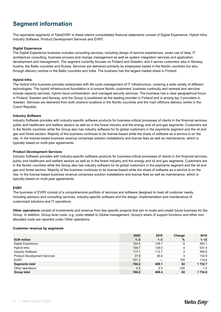### <span id="page-21-0"></span>**Segment information**

The reportable segments of TietoEVRY in these interim consolidated financial statements consist of Digital Experience, Hybrid Infra, Industry Software, Product Development Services and EVRY.

#### **Digital Experience**

The Digital Experience business includes consulting services, including design of service experiences, smart use of data, IT architecture consulting, business process and change management as well as system integration services and application development and management. The segment currently focuses on Finland and Sweden, and it serves customers also in Norway, Austria, the Baltic countries and Russia. Services are delivered primarily by employees based in the Nordic countries but also through delivery centres in the Baltic countries and India. The business has the largest market share in Finland.

#### **Hybrid Infra**

The Hybrid Infra business provides enterprises with life cycle management of IT infrastructure, covering a wide variety of different technologies. The hybrid infrastructure foundation is to ensure Nordic customers' business continuity and renewal and services include capacity services, hybrid cloud orchestration, and managed security services. The business has a clear geographical focus in Finland, Sweden and Norway, and the Group is positioned as the leading provider in Finland and is among top 3 providers in Sweden. Services are delivered from both onshore locations in the Nordic countries and the main offshore delivery centre in the Czech Republic.

#### **Industry Software**

Industry Software provides with industry-specific software products for business-critical processes of clients in the financial services, public and healthcare and welfare sectors as well as in the forest industry and the energy and oil and gas segments. Customers are in the Nordic countries while the Group also has industry software for its global customers in the payments segment and the oil and gas and forest sectors. Majority of the business continues to be license-based while the share of software as a service is on the rise. In the license-based business revenue comprises solution installations and license fees as well as maintenance, which is typically based on multi-year agreements.

#### **Product Development Services**

Industry Software provides with industry-specific software products for business-critical processes of clients in the financial services, public and healthcare and welfare sectors as well as in the forest industry and the energy and oil and gas segments. Customers are in the Nordic countries while the Group also has industry software for its global customers in the payments segment and the oil and gas and forest sectors. Majority of the business continues to be license-based while the share of software as a service is on the rise. In the license-based business revenue comprises solution installations and license fees as well as maintenance, which is typically based on multi-year agreements.

#### **EVRY**

The business of EVRY consist of a comprehensive portfolio of services and software designed to meet all customer needs, including advisory and consulting services, industry-specific software and the design, implementation and maintenance of customized solutions and IT operations.

**Other operations** consist of investments and revenue from few specific projects that aim to scale and create future business for the Group. In addition, Group level costs, e.g. costs related to Global management, Group's share of support functions and other nonallocated costs are reported under Other operations.

#### **Customer revenue by segments**

|                                     | 2020    | 2019    | Change | 2019        |
|-------------------------------------|---------|---------|--------|-------------|
| <b>EUR million</b>                  | $1 - 3$ | $1 - 3$ | %      | $1 - 12$    |
| <b>Digital Experience</b>           | 123.4   | 129.7   | -5     | 483.1       |
| Hybrid Infra                        | 134.7   | 129.0   | 4      | 531.4       |
| <b>Industry Software</b>            | 117.1   | 112.7   | 4      | 455.5       |
| <b>Product Development Services</b> | 37.8    | 36.8    | 3      | 142.9       |
| <b>EVRY</b>                         | 331.2   |         | 100    | 119.9       |
| <b>Segments total</b>               | 744.2   | 408.1   | 82     | 1 7 3 2 . 7 |
| Other operations                    | 0.0     | 0.3     | $-100$ | 1.4         |
| <b>Group total</b>                  | 744.2   | 408.4   | 82     | 1 734.0     |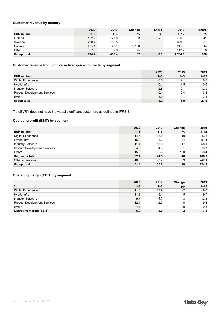#### **Customer revenue by country**

|                    | 2020    | 2019    | Change | <b>Share</b> | 2019     | <b>Share</b> |
|--------------------|---------|---------|--------|--------------|----------|--------------|
| <b>EUR million</b> | $1 - 3$ | $1 - 3$ | %      | %            | $1 - 12$ | %            |
| Finland            | 182.9   | 177.0   | 3      | 25           | 706.8    | 41           |
| Sweden             | 238.7   | 158.5   | 51     | 32           | 639.5    | 37           |
| Norway             | 265.1   | 40.1    | >100   | 36           | 245.5    | 14           |
| Other              | 57.6    | 32.9    | 75     |              | 142.2    | 8            |
| Group total        | 744.2   | 408.4   | 82     | 100          | 1734.0   | 100          |

#### **Customer revenue from long-term fixed-price contracts by segment**

|                                     | 2020    | 2019    | 2019     |
|-------------------------------------|---------|---------|----------|
| <b>EUR million</b>                  | $1 - 3$ | $1 - 3$ | $1 - 12$ |
| <b>Digital Experience</b>           | 0.5     | 2.1     | 6.8      |
| Hybrid Infra                        | 0.4     | $-1.5$  | 0.6      |
| <b>Industry Software</b>            | 2.8     | 2.1     | 12.9     |
| <b>Product Development Services</b> | 0.4     | 0.4     | 3.8      |
| <b>EVRY</b>                         | 5.0     |         | 3.5      |
| <b>Group total</b>                  | 9.2     | 3.0     | 27.6     |

TietoEVRY does not have individual significant customers as defined in IFRS 8.

#### **Operating profit (EBIT) by segment**

|                                     | 2020    | 2019    | Change | 2019     |
|-------------------------------------|---------|---------|--------|----------|
| <b>EUR million</b>                  | $1 - 3$ | $1 - 3$ | %      | $1 - 12$ |
| <b>Digital Experience</b>           | 14.6    | 18.0    | $-19$  | 43.5     |
| Hybrid Infra                        | 16.0    | 8.2     | 94     | 51.4     |
| <b>Industry Software</b>            | 11.4    | 13.8    | $-17$  | 58.1     |
| <b>Product Development Services</b> | 4.6     | 4.5     |        | 13.7     |
| <b>EVRY</b>                         | 15.6    |         | 100    | $-0.4$   |
| <b>Segments total</b>               | 62.1    | 44.5    | 40     | 166.3    |
| Other operations                    | $-10.8$ | $-7.7$  | $-39$  | $-42.1$  |
| Group total                         | 51.4    | 36.8    | 40     | 124.2    |

#### **Operating margin (EBIT) by segment**

|                                     | 2020    | 2019    | Change | 2019     |
|-------------------------------------|---------|---------|--------|----------|
| %                                   | $1 - 3$ | $1 - 3$ | pp     | $1 - 12$ |
| <b>Digital Experience</b>           | 11.8    | 13.9    | $-2$   | 9.0      |
| Hybrid Infra                        | 11.9    | 6.4     | 5      | 9.7      |
| <b>Industry Software</b>            | 9.7     | 12.2    | $-3$   | 12.8     |
| <b>Product Development Services</b> | 12.1    | 12.3    |        | 9.6      |
| <b>EVRY</b>                         | 4.7     |         | 100    | $-0.3$   |
| <b>Operating margin (EBIT)</b>      | 6.9     | 9.0     | $-2$   | 7.2      |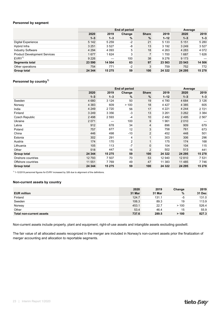#### **Personnel by segment**

|                                     | End of period |         |        |                |          | Average |         |  |
|-------------------------------------|---------------|---------|--------|----------------|----------|---------|---------|--|
|                                     | 2020          | 2019    | Change | <b>Share</b>   | 2019     | 2020    | 2019    |  |
|                                     | $1 - 3$       | $1 - 3$ | %      | $\%$           | $1 - 12$ | $1 - 3$ | $1 - 3$ |  |
| Digital Experience                  | 5 1 4 2       | 5 2 5 9 | $-2$   | 21             | 5 1 3 3  | 5 1 5 1 | 5 2 8 0 |  |
| Hybrid Infra                        | 3 2 5 1       | 3527    | -8     | 13             | 3 1 9 2  | 3 2 4 9 | 3527    |  |
| <b>Industry Software</b>            | 4 2 9 4       | 4 0 9 3 | 5      | 18             | 4 2 6 3  | 4 2 8 3 | 4 0 7 2 |  |
| <b>Product Development Services</b> | 1677          | 1624    | 3      | $\overline{7}$ | 1700     | 1687    | 1626    |  |
| EVRY <sup>1</sup>                   | 9 2 2 6       |         | 100    | 38             | 9 2 7 6  | 9 1 7 3 |         |  |
| <b>Segments total</b>               | 23 590        | 14 504  | 63     | 97             | 23 563   | 23 543  | 14 506  |  |
| Other operations                    | 754           | 771     | $-2$   | 3              | 759      | 752     | 772     |  |
| <b>Group total</b>                  | 24 344        | 15 275  | 59     | 100            | 24 3 22  | 24 295  | 15 278  |  |

#### Personnel by country<sup>1)</sup>

|                    |         | Average |        |                |          |         |         |
|--------------------|---------|---------|--------|----------------|----------|---------|---------|
|                    | 2020    | 2019    | Change | <b>Share</b>   | 2019     | 2020    | 2019    |
|                    | $1 - 3$ | $1 - 3$ | %      | $\%$           | $1 - 12$ | $1 - 3$ | $1 - 3$ |
| Sweden             | 4 6 8 0 | 3 1 2 4 | 50     | 19             | 4 7 8 0  | 4 6 8 4 | 3 1 2 6 |
| Norway             | 4 3 8 3 | 609     | >100   | 18             | 4 4 2 7  | 4 3 8 5 | 605     |
| India              | 4 2 4 9 | 2720    | 56     | 17             | 4 2 2 1  | 4 2 4 4 | 2721    |
| Finland            | 3 2 4 9 | 3 3 5 6 | $-3$   | 13             | 3 2 6 1  | 3 2 6 2 | 3 3 8 4 |
| Czech Republic     | 2498    | 2593    | $-4$   | 10             | 2482     | 2 4 9 5 | 2567    |
| Ukraine            | 2071    |         | 100    | 9              | 1961     | 2 0 1 0 |         |
| Latvia             | 912     | 678     | 34     | $\overline{4}$ | 896      | 909     | 679     |
| Poland             | 757     | 677     | 12     | 3              | 758      | 761     | 673     |
| China              | 446     | 498     | $-10$  | $\overline{2}$ | 452      | 448     | 501     |
| Estonia            | 302     | 291     | 4      | $\mathbf{1}$   | 303      | 306     | 296     |
| Austria            | 174     | 170     | 2      | $\mathbf{1}$   | 175      | 174     | 168     |
| Lithuania          | 105     | 113     | $-7$   | $\mathbf 0$    | 104      | 104     | 115     |
| Other              | 518     | 447     | 16     | $\overline{2}$ | 502      | 513     | 441     |
| Group total        | 24 344  | 15 275  | 59     | 100            | 24 3 22  | 24 295  | 15 278  |
| Onshore countries  | 12 793  | 7507    | 70     | 53             | 12 940   | 12 810  | 7531    |
| Offshore countries | 11 551  | 7769    | 49     | 47             | 11 383   | 11 485  | 7746    |
| <b>Group total</b> | 24 344  | 15 275  | 59     | 100            | 24 3 22  | 24 295  | 15 278  |

 $1)$  1-12/2019 personnel figures for EVRY increased by 326 due to alignment of the definitions.

#### **Non-current assets by country**

|                          | 2020   | 2019   | Change | 2019   |
|--------------------------|--------|--------|--------|--------|
| <b>EUR million</b>       | 31 Mar | 31 Mar | %      | 31 Dec |
| Finland                  | 124.7  | 131.1  | -5     | 131.0  |
| Sweden                   | 106.3  | 89.3   | 19     | 113.9  |
| Norway                   | 453.1  | 22.7   | >100   | 526.4  |
| Other                    | 53.4   | 46.4   | 15     | 55.9   |
| Total non-current assets | 737.6  | 289.5  | > 100  | 827.3  |

Non-current assets include property, plant and equipment, right-of-use assets and intangible assets excluding goodwill.

The fair value of all allocated assets recognized in the merger are included in Norway's non-current assets prior the finalization of merger accounting and allocation to reportable segments.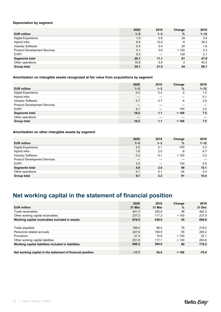#### <span id="page-24-0"></span>**Depreciation by segment**

|                                     | 2020    | 2019    | Change | 2019     |
|-------------------------------------|---------|---------|--------|----------|
| <b>EUR million</b>                  | $1 - 3$ | $1 - 3$ | %      | $1 - 12$ |
| <b>Digital Experience</b>           | 1.0     | 0.8     | 29     | 3.6      |
| Hybrid Infra                        | 9.4     | 10.0    | -6     | 39.3     |
| <b>Industry Software</b>            | 0.4     | 0.4     | 20     | 1.6      |
| <b>Product Development Services</b> | 0.1     | 0.0     | >100   | 0.3      |
| <b>EVRY</b>                         | 9.3     |         | 100    | 3.1      |
| <b>Segments total</b>               | 20.1    | 11.1    | 81     | 47.9     |
| Other operations                    | 10.0    | 9.9     | 2      | 40.2     |
| Group total                         | 30.1    | 21.0    | 44     | 88.1     |

#### **Amortization on intangible assets recognized at fair value from acquisitions by segment**

|                                     | 2020    | 2019    | Change | 2019     |
|-------------------------------------|---------|---------|--------|----------|
| <b>EUR million</b>                  | $1 - 3$ | $1 - 3$ | %      | $1 - 12$ |
| <b>Digital Experience</b>           | 0.3     | 0.4     | $-2$   | 1.4      |
| Hybrid Infra                        | –       |         |        | 0.1      |
| <b>Industry Software</b>            | 0.7     | 0.7     | $-4$   | 2.9      |
| <b>Product Development Services</b> |         |         |        |          |
| <b>EVRY</b>                         | 9.1     |         | 100    | 3.2      |
| <b>Segments total</b>               | 10.2    | 1.1     | > 100  | 7.5      |
| Other operations                    |         |         |        |          |
| <b>Group total</b>                  | 10.2    | 1.1     | > 100  | 7.5      |

#### **Amortization on other intangible assets by segment**

|                                     | 2020    | 2019    | Change | 2019     |
|-------------------------------------|---------|---------|--------|----------|
| <b>EUR million</b>                  | $1 - 3$ | $1 - 3$ | %      | $1 - 12$ |
| <b>Digital Experience</b>           | 0.0     | 0.1     | $-100$ | 0.3      |
| Hybrid Infra                        | 1.8     | 2.0     | -8     | 8.7      |
| <b>Industry Software</b>            | 0.2     | $-0.1$  | >100   | 0.2      |
| <b>Product Development Services</b> |         |         |        |          |
| <b>EVRY</b>                         | 2.0     |         | 100    | 0.9      |
| <b>Segments total</b>               | 4.0     | 2.0     | 98     | 10.1     |
| Other operations                    | 0.1     | 0.1     | $-34$  | 0.4      |
| <b>Group total</b>                  | 4.1     | 2.2     | 91     | 10.4     |

### **Net working capital in the statement of financial position**

|                                                            | 2020    | 2019   | Change | 2019    |
|------------------------------------------------------------|---------|--------|--------|---------|
| <b>EUR million</b>                                         | 31 Mar  | 31 Mar | $\%$   | 31 Dec  |
| Trade receivables                                          | 441.3   | 320.8  | 38     | 462.3   |
| Other working capital receivables                          | 237.2   | 117.2  | >100   | 237.5   |
| Working capital receivables included in assets             | 678.5   | 438.0  | 55     | 699.8   |
|                                                            |         |        |        |         |
| Trade payables                                             | 169.4   | 96.4   | 76     | 219.2   |
| Personnel related accruals                                 | 247.6   | 159.9  | 55     | 265.2   |
| <b>Provisions</b>                                          | 21.3    | 10.6   | >100   | 22.1    |
| Other working capital liabilities                          | 251.8   | 117.1  | >100   | 263.6   |
| Working capital liabilities included in liabilities        | 690.2   | 384.0  | 80     | 770.2   |
|                                                            |         |        |        |         |
| Net working capital in the statement of financial position | $-11.7$ | 54.0   | > 100  | $-70.4$ |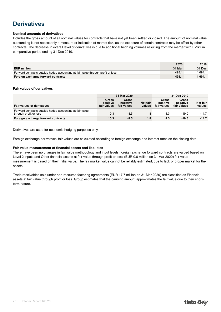### <span id="page-25-0"></span>**Derivatives**

#### **Nominal amounts of derivatives**

Includes the gross amount of all nominal values for contracts that have not yet been settled or closed. The amount of nominal value outstanding is not necessarily a measure or indication of market risk, as the exposure of certain contracts may be offset by other contracts. The decrease in overall level of derivatives is due to additional hedging volumes resulting from the merger with EVRY in comparative period ending 31 Dec 2019.

|                                                                                 | 2020   | 2019          |
|---------------------------------------------------------------------------------|--------|---------------|
| <b>EUR million</b>                                                              | 31 Mar | <b>31 Dec</b> |
| Forward contracts outside hedge accounting at fair value through profit or loss | 493.1  | 694.1         |
| Foreign exchange forward contracts                                              | 493.1  | 1 694.1       |

#### **Fair values of derivatives**

|                                                                                    |                                         | 31 Mar 2020                             |                    | 31 Dec 2019                      |                                         |                    |  |
|------------------------------------------------------------------------------------|-----------------------------------------|-----------------------------------------|--------------------|----------------------------------|-----------------------------------------|--------------------|--|
| <b>Fair values of derivatives</b>                                                  | <b>Gross</b><br>positive<br>fair values | <b>Gross</b><br>negative<br>fair values | Net fair<br>values | Gross<br>positive<br>fair values | <b>Gross</b><br>negative<br>fair values | Net fair<br>values |  |
| Forward contracts outside hedge accounting at fair value<br>through profit or loss | 10.3                                    | $-8.5$                                  | 1.8                | 4.3                              | $-19.0$                                 | $-14.7$            |  |
| Foreign exchange forward contracts                                                 | 10.3                                    | $-8.5$                                  | 1.8                | 4.3                              | $-19.0$                                 | $-14.7$            |  |

Derivatives are used for economic hedging purposes only.

Foreign exchange derivatives' fair values are calculated according to foreign exchange and interest rates on the closing date.

#### **Fair value measurement of financial assets and liabilities**

There have been no changes in fair value methodology and input levels: foreign exchange forward contracts are valued based on Level 2 inputs and Other financial assets at fair value through profit or loss' (EUR 0.6 million on 31 Mar 2020) fair value measurement is based on their initial value. The fair market value cannot be reliably estimated, due to lack of proper market for the assets.

Trade receivables sold under non-recourse factoring agreements (EUR 17.7 million on 31 Mar 2020) are classified as Financial assets at fair value through profit or loss. Group estimates that the carrying amount approximates the fair value due to their shortterm nature.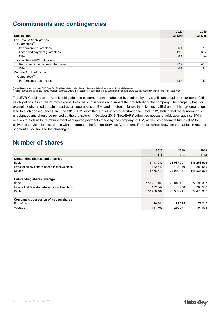### <span id="page-26-0"></span>**Commitments and contingencies**

|                                                 | 2020   | 2019   |
|-------------------------------------------------|--------|--------|
| <b>EUR million</b>                              | 31 Mar | 31 Dec |
| For TietoEVRY obligations                       |        |        |
| Guarantees <sup>1)</sup>                        |        |        |
| Performance guarantees                          | 6.4    | 7.0    |
| Lease and payment guarantees                    | 42.3   | 48.2   |
| Other                                           | 0.1    |        |
| Other TietoEVRY obligations                     |        |        |
| Rent commitments due in 1-5 years <sup>2)</sup> | 22.7   | 20.3   |
| Other                                           | 0.9    | 1.1    |
| On behalf of third parties                      |        |        |
| Guarantees <sup>1)</sup>                        |        |        |
| Performance guarantees                          | 23.5   | 24.9   |

<sup>1)</sup> In addition commitments of EUR 38.6 (41.9) million related to liabilities in the consolidated statement of financial position.<br><sup>2)</sup> Parent company has signed Provisional rent contract, where the existence of obligatio

TietoEVRY's ability to perform its obligations to customers can be affected by a failure by any significant supplier or partner to fulfil its obligations. Such failure may expose TietoEVRY to liabilities and impact the profitability of the company. The company has, for example, outsourced certain infrastructure operations to IBM, and a potential failure in deliveries by IBM under this agreement could lead to such consequences. In June 2019, IBM submitted a brief notice of arbitration to TietoEVRY, stating that the agreement is unbalanced and should be revised by the arbitrators. In October 2019, TietoEVRY submitted notices of arbitration against IBM in relation to a claim for reimbursement of disputed payments made by the company to IBM, as well as general failure by IBM to deliver its services in accordance with the terms of the Master Services Agreement. There is contact between the parties in respect of potential solutions to the challenges.

### **Number of shares**

|                                                | 2020        | 2019       | 2019        |
|------------------------------------------------|-------------|------------|-------------|
|                                                | $1 - 3$     | $1 - 3$    | $1 - 12$    |
| Outstanding shares, end of period              |             |            |             |
| Basic                                          | 118 443 930 | 73 937 007 | 118 253 526 |
| Effect of dilutive share-based incentive plans | 132 642     | 133 930    | 283 550     |
| Diluted                                        | 118 576 572 | 74 070 937 | 118 537 076 |
|                                                |             |            |             |
| Outstanding shares, average                    |             |            |             |
| Basic                                          | 118 297 465 | 73 848 481 | 77 193 387  |
| Effect of dilutive share-based incentive plans | 132 642     | 133 930    | 283 550     |
| Diluted                                        | 118 430 107 | 73 982 411 | 77 476 937  |
|                                                |             |            |             |
| Company's possession of its own shares         |             |            |             |
| End of period                                  | 16841       | 172 245    | 172 245     |
| Average                                        | 141 767     | 260 771    | 194 073     |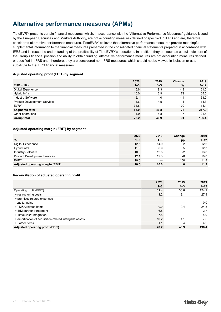### <span id="page-27-0"></span>**Alternative performance measures (APMs)**

TietoEVRY presents certain financial measures, which, in accordance with the "Alternative Performance Measures" guidance issued by the European Securities and Markets Authority, are not accounting measures defined or specified in IFRS and are, therefore, considered alternative performance measures. TietoEVRY believes that alternative performance measures provide meaningful supplemental information to the financial measures presented in the consolidated financial statements prepared in accordance with IFRS and increase the understanding of the profitability of TietoEVRY's operations. In addition, they are seen as useful indicators of the Group's financial position and ability to obtain funding. Alternative performance measures are not accounting measures defined or specified in IFRS and, therefore, they are considered non-IFRS measures, which should not be viewed in isolation or as a substitute to the IFRS financial measures.

#### **Adjusted operating profit (EBIT) by segment**

|                                     | 2020    | 2019    | Change | 2019     |
|-------------------------------------|---------|---------|--------|----------|
| <b>EUR million</b>                  | $1 - 3$ | $1 - 3$ | %      | $1 - 12$ |
| <b>Digital Experience</b>           | 15.6    | 19.3    | $-19$  | 61.0     |
| Hybrid Infra                        | 16.0    | 8.9     | 79     | 65.5     |
| <b>Industry Software</b>            | 12.1    | 14.0    | $-14$  | 63.0     |
| <b>Product Development Services</b> | 4.6     | 4.5     |        | 14.3     |
| <b>EVRY</b>                         | 34.8    |         | 100    | 14.1     |
| <b>Segments total</b>               | 83.0    | 46.8    | 78     | 217.9    |
| Other operations                    | $-4.9$  | $-5.8$  | 17     | $-21.6$  |
| <b>Group total</b>                  | 78.2    | 40.9    | 91     | 196.4    |

#### **Adjusted operating margin (EBIT) by segment**

|                                     | 2020    | 2019    | Change | 2019     |
|-------------------------------------|---------|---------|--------|----------|
| $\%$                                | $1 - 3$ | $1 - 3$ | pp     | $1 - 12$ |
| Digital Experience                  | 12.6    | 14.9    | $-2$   | 12.6     |
| Hybrid Infra                        | 11.8    | 6.9     | 5      | 12.3     |
| <b>Industry Software</b>            | 10.3    | 12.5    | -2     | 13.8     |
| <b>Product Development Services</b> | 12.1    | 12.3    | -0     | 10.0     |
| <b>EVRY</b>                         | 10.5    |         | 100    | 11.8     |
| Adjusted operating margin (EBIT)    | 10.5    | 10.0    | 0      | 11.3     |

#### **Reconciliation of adjusted operating profit**

|                                                         | 2020    | 2019    | 2019     |
|---------------------------------------------------------|---------|---------|----------|
|                                                         | $1 - 3$ | $1 - 3$ | $1 - 12$ |
| Operating profit (EBIT)                                 | 51.4    | 36.8    | 124.2    |
| + restructuring costs                                   | 1.2     | 3.1     | 27.9     |
| + premises related expenses                             |         |         |          |
| - capital gains                                         |         |         | 0.0      |
| +/- M&A related items                                   | 0.0     | 0.4     | 24.8     |
| + IBM partner agreement                                 | 6.8     |         | 2.7      |
| + TietoEVRY integration                                 | 7.5     |         | 4.9      |
| + amortization of acquisition-related intangible assets | 10.2    | 1.1     | 7.5      |
| $+/-$ other items                                       | 1.1     | $-0.4$  | 4.2      |
| Adjusted operating profit (EBIT)                        | 78.2    | 40.9    | 196.4    |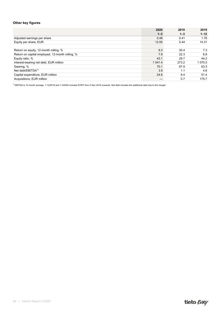#### **Other key figures**

| $1 - 12$<br>$1 - 3$<br>$1 - 3$<br>1.76<br>0.48<br>Adjusted earnings per share<br>0.41<br>Equity per share, EUR<br>12.55<br>14.31<br>5.44<br>9.3<br>Return on equity, 12-month rolling, %<br>7.3<br>30.4<br>Return on capital employed, 12-month rolling, %<br>7.9<br>6.8<br>22.3<br>43.1<br>44.2<br>Equity ratio, %<br>29.7<br>1 070.0<br>Interest-bearing net debt, EUR million<br>273.2<br>1 041.4<br>Gearing, %<br>70.1<br>67.9<br>63.3<br>Net debt/EBITD $A^{1}$<br>3.9<br>4.6<br>1.1<br>24.6<br>Capital expenditure, EUR million<br>9.4<br>51.4 |                           | 2020 | 2019 | 2019  |
|------------------------------------------------------------------------------------------------------------------------------------------------------------------------------------------------------------------------------------------------------------------------------------------------------------------------------------------------------------------------------------------------------------------------------------------------------------------------------------------------------------------------------------------------------|---------------------------|------|------|-------|
|                                                                                                                                                                                                                                                                                                                                                                                                                                                                                                                                                      |                           |      |      |       |
|                                                                                                                                                                                                                                                                                                                                                                                                                                                                                                                                                      |                           |      |      |       |
|                                                                                                                                                                                                                                                                                                                                                                                                                                                                                                                                                      |                           |      |      |       |
|                                                                                                                                                                                                                                                                                                                                                                                                                                                                                                                                                      |                           |      |      |       |
|                                                                                                                                                                                                                                                                                                                                                                                                                                                                                                                                                      |                           |      |      |       |
|                                                                                                                                                                                                                                                                                                                                                                                                                                                                                                                                                      |                           |      |      |       |
|                                                                                                                                                                                                                                                                                                                                                                                                                                                                                                                                                      |                           |      |      |       |
|                                                                                                                                                                                                                                                                                                                                                                                                                                                                                                                                                      |                           |      |      |       |
|                                                                                                                                                                                                                                                                                                                                                                                                                                                                                                                                                      |                           |      |      |       |
|                                                                                                                                                                                                                                                                                                                                                                                                                                                                                                                                                      |                           |      |      |       |
|                                                                                                                                                                                                                                                                                                                                                                                                                                                                                                                                                      |                           |      |      |       |
|                                                                                                                                                                                                                                                                                                                                                                                                                                                                                                                                                      | Acquisitions, EUR million |      | 0.7  | 175.7 |

<sup>1)</sup> EBITDA is 12-month average. 1-12/2019 and 1-3/2020 includes EVRY from 5 Dec 2019 onwards. Net debt includes the additional debt due to the merger.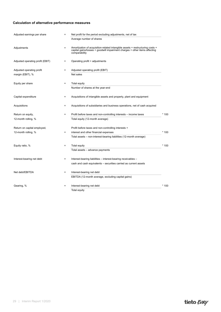#### **Calculation of alternative performance measures**

| Adjusted earnings per share      | $=$      | Net profit for the period excluding adjustments, net of tax                                                                                                                  |        |
|----------------------------------|----------|------------------------------------------------------------------------------------------------------------------------------------------------------------------------------|--------|
|                                  |          | Average number of shares                                                                                                                                                     |        |
| Adjustments                      | $=$      | Amortization of acquisition-related intangible assets + restructuring costs +<br>capital gains/losses + goodwill impairment charges + other items affecting<br>comparability |        |
| Adjusted operating profit (EBIT) | $\equiv$ | Operating profit + adjustments                                                                                                                                               |        |
| Adjusted operating profit        | $=$      | Adjusted operating profit (EBIT)                                                                                                                                             |        |
| margin (EBIT), %                 |          | Net sales                                                                                                                                                                    |        |
| Equity per share                 | $=$      | <b>Total equity</b>                                                                                                                                                          |        |
|                                  |          | Number of shares at the year-end                                                                                                                                             |        |
| Capital expenditure              | $=$      | Acquisitions of intangible assets and property, plant and equipment                                                                                                          |        |
| Acquisitions                     | $=$      | Acquisitions of subsidiaries and business operations, net of cash acquired                                                                                                   |        |
| Return on equity,                | $=$      | Profit before taxes and non-controlling interests - income taxes                                                                                                             | $*100$ |
| 12-month rolling, %              |          | Total equity (12-month average)                                                                                                                                              |        |
| Return on capital employed,      |          | Profit before taxes and non-controlling interests +                                                                                                                          |        |
| 12-month rolling, %              | $=$      | interest and other financial expenses                                                                                                                                        | $*100$ |
|                                  |          | Total assets - non-interest-bearing liabilities (12-month average)                                                                                                           |        |
| Equity ratio, %                  | $=$      | Total equity                                                                                                                                                                 | $*100$ |
|                                  |          | Total assets - advance payments                                                                                                                                              |        |
| Interest-bearing net debt        | $=$      | Interest-bearing liabilities - interest-bearing receivables -                                                                                                                |        |
|                                  |          | cash and cash equivalents - securities carried as current assets                                                                                                             |        |
| Net debt/EBITDA                  | $=$      | Interest-bearing net debt                                                                                                                                                    |        |
|                                  |          | EBITDA (12-month average, excluding capital gains)                                                                                                                           |        |
| Gearing, %                       | $=$      | Interest-bearing net debt                                                                                                                                                    | * 100  |
|                                  |          | Total equity                                                                                                                                                                 |        |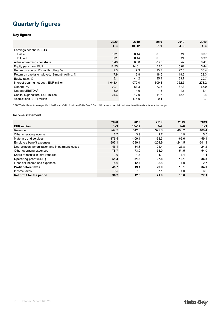### <span id="page-30-0"></span>**Quarterly figures**

#### **Key figures**

|                                                 | 2020       | 2019      | 2019    | 2019    | 2019    |
|-------------------------------------------------|------------|-----------|---------|---------|---------|
|                                                 | $1 - 3$    | $10 - 12$ | $7 - 9$ | $4 - 6$ | $1 - 3$ |
| Earnings per share, EUR                         |            |           |         |         |         |
| Basic                                           | 0.31       | 0.14      | 0.30    | 0.24    | 0.37    |
| <b>Diluted</b>                                  | 0.31       | 0.14      | 0.30    | 0.24    | 0.37    |
| Adjusted earnings per share                     | 0.48       | 0.50      | 0.45    | 0.42    | 0.41    |
| Equity per share, EUR                           | 12.55      | 14.31     | 5.70    | 5.62    | 5.44    |
| Return on equity, 12-month rolling, %           | 9.3        | 7.3       | 23.7    | 27.6    | 30.4    |
| Return on capital employed, 12-month rolling, % | 7.9        | 6.8       | 18.5    | 19.2    | 22.3    |
| Equity ratio, %                                 | 43.1       | 44.2      | 35.4    | 33.7    | 29.7    |
| Interest-bearing net debt, EUR million          | 1 0 4 1 .4 | 1 070.0   | 309.1   | 362.5   | 273.2   |
| Gearing, %                                      | 70.1       | 63.3      | 73.3    | 87.3    | 67.9    |
| Net debt/EBITDA $1$                             | 3.9        | 4.6       | 1.3     | 1.5     | 1.1     |
| Capital expenditure, EUR million                | 24.6       | 17.9      | 11.6    | 12.5    | 9.4     |
| Acquisitions, EUR million                       |            | 175.0     | 0.1     |         | 0.7     |

1) EBITDA is 12-month average. 10-12/2019 and 1-3/2020 includes EVRY from 5 Dec 2019 onwards. Net debt includes the additional debt due to the merger.

#### **Income statement**

|                                                  | 2020     | 2019      | 2019     | 2019     | 2019     |
|--------------------------------------------------|----------|-----------|----------|----------|----------|
| <b>EUR million</b>                               | $1 - 3$  | $10 - 12$ | $7 - 9$  | $4 - 6$  | $1 - 3$  |
| Revenue                                          | 744.2    | 542.8     | 379.6    | 403.2    | 408.4    |
| Other operating income                           | 2.7      | 3.9       | 2.7      | 4.9      | 5.5      |
| Materials and services                           | $-176.5$ | $-109.1$  | $-63.3$  | $-66.6$  | $-59.1$  |
| Employee benefit expenses                        | $-397.1$ | $-299.1$  | $-204.9$ | $-244.5$ | $-241.3$ |
| Depreciation, amortization and impairment losses | $-45.1$  | $-34.8$   | $-24.4$  | $-25.8$  | $-24.2$  |
| Other operating expenses                         | $-78.7$  | $-73.9$   | $-53.0$  | $-54.5$  | $-54.0$  |
| Share of results in joint ventures               | 1.9      | 1.7       | 1.1      | 1.4      | 1.4      |
| <b>Operating profit (EBIT)</b>                   | 51.4     | 31.5      | 37.8     | 18.1     | 36.8     |
| Financial income and expenses                    | $-5.6$   | $-12.4$   | $-8.8$   | 1.0      | $-2.7$   |
| <b>Profit before taxes</b>                       | 45.7     | 19.1      | 29.0     | 19.1     | 34.0     |
| Income taxes                                     | $-9.5$   | $-7.0$    | $-7.1$   | $-1.0$   | $-6.9$   |
| Net profit for the period                        | 36.2     | 12.0      | 21.9     | 18.0     | 27.1     |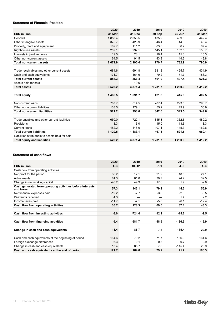#### **Statement of Financial Position**

|                                                  | 2020      | 2019       | 2019        | 2019    | 2019   |
|--------------------------------------------------|-----------|------------|-------------|---------|--------|
| <b>EUR million</b>                               | 31 Mar    | 31 Dec     | 30 Sep      | 30 Jun  | 31 Mar |
| Goodwill                                         | 1850.4    | 2 0 5 3 .5 | 435.9       | 439.3   | 442.4  |
| Other intangible assets                          | 375.7     | 423.9      | 46.4        | 44.3    | 45.4   |
| Property, plant and equipment                    | 102.7     | 111.2      | 83.0        | 86.7    | 87.4   |
| Right-of-use assets                              | 259.1     | 292.1      | 145.1       | 152.5   | 156.7  |
| Interests in joint ventures                      | 19.5      | 23.1       | 16.4        | 15.3    | 15.3   |
| Other non-current assets                         | 64.5      | 91.5       | 43.9        | 44.6    | 43.8   |
| <b>Total non-current assets</b>                  | 2671.9    | 2995.4     | 770.7       | 782.9   | 790.9  |
|                                                  |           |            |             |         |        |
| Trade receivables and other current assets       | 684.6     | 691.8      | 381.8       | 425.7   | 434.9  |
| Cash and cash equivalents                        | 171.7     | 164.6      | 79.2        | 71.7    | 186.3  |
| <b>Total current assets</b>                      | 856.3     | 856.4      | 461.0       | 497.4   | 621.3  |
| Assets held for sale                             |           | 19.6       |             |         |        |
| <b>Total assets</b>                              | 3528.2    | 3871.4     | 1 2 3 1 . 7 | 1 280.3 | 1412.2 |
|                                                  |           |            |             |         |        |
| <b>Total equity</b>                              | 1486.5    | 1691.7     | 421.8       | 415.3   | 402.5  |
|                                                  |           |            |             |         |        |
| Non-current loans                                | 787.7     | 814.5      | 287.4       | 293.6   | 298.7  |
| Other non-current liabilities                    | 133.5     | 179.1      | 55.2        | 49.9    | 50.9   |
| <b>Total non-current liabilities</b>             | 921.2     | 993.6      | 342.6       | 343.5   | 349.6  |
|                                                  |           |            |             |         |        |
| Trade payables and other current liabilities     | 650.0     | 722.1      | 345.3       | 362.6   | 489.2  |
| Provisions                                       | 18.3      | 13.0       | 15.0        | 13.6    | 8.3    |
| Current loans                                    | 452.2     | 448.0      | 107.1       | 145.3   | 162.6  |
| <b>Total current liabilities</b>                 | 1 1 2 0.5 | 1 183.1    | 467.3       | 521.5   | 660.1  |
| Liabilities attributable to assets held for sale |           | 3.1        |             |         |        |
| <b>Total equity and liabilities</b>              | 3528.2    | 3871.4     | 1 2 3 1 . 7 | 1 280.3 | 1412.2 |

#### **Statement of cash flows**

|                                                                        | 2020    | 2019      | 2019    | 2019     | 2019    |
|------------------------------------------------------------------------|---------|-----------|---------|----------|---------|
| <b>EUR million</b>                                                     | $1 - 3$ | $10 - 12$ | $7 - 9$ | $4 - 6$  | $1 - 3$ |
| Cash flow from operating activities                                    |         |           |         |          |         |
| Net profit for the period                                              | 36.2    | 12.1      | 21.9    | 18.0     | 27.1    |
| Adjustments                                                            | 61.3    | 81.0      | 39.7    | 24.2     | 32.5    |
| Change in net working capital                                          | $-40.2$ | 49.9      | 17.6    | 1.9      | $-2.8$  |
| Cash generated from operating activities before interests<br>and taxes | 57.3    | 143.1     | 79.2    | 44.2     | 56.9    |
| Net financial expenses paid                                            | $-19.2$ | $-7.7$    | $-3.8$  | $-2.3$   | $-3.5$  |
| Dividends received                                                     | 4.3     |           |         | 1.4      | 2.2     |
| Income taxes paid                                                      | $-11.7$ | $-7.1$    | $-5.8$  | $-6.1$   | $-12.4$ |
| Cash flow from operating activities                                    | 30.7    | 128.3     | 69.6    | 37.1     | 43.3    |
|                                                                        |         |           |         |          |         |
| Cash flow from investing activities                                    | $-8.0$  | $-724.4$  | $-12.9$ | $-15.6$  | $-9.5$  |
|                                                                        |         |           |         |          |         |
| Cash flow from financing activities                                    | $-9.4$  | 681.7     | $-48.9$ | $-136.9$ | $-12.9$ |
|                                                                        |         |           |         |          |         |
| Change in cash and cash equivalents                                    | 13.4    | 85.7      | 7.8     | $-115.4$ | 20.9    |
|                                                                        |         |           |         |          |         |
| Cash and cash equivalents at the beginning of period                   | 164.6   | 79.2      | 71.7    | 186.3    | 164.6   |
| Foreign exchange differences                                           | $-6.3$  | $-0.1$    | $-0.3$  | 0.7      | 0.9     |
| Change in cash and cash equivalents                                    | 13.4    | 85.7      | 7.8     | $-115.4$ | 20.9    |
| Cash and cash equivalents at the end of period                         | 171.7   | 164.6     | 79.2    | 71.7     | 186.3   |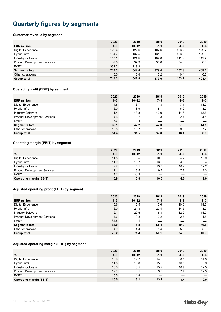### <span id="page-32-0"></span>**Quarterly figures by segments**

#### **Customer revenue by segment**

|                                     | 2020    | 2019      | 2019    | 2019    | 2019    |
|-------------------------------------|---------|-----------|---------|---------|---------|
| <b>EUR million</b>                  | $1 - 3$ | $10 - 12$ | $7 - 9$ | $4 - 6$ | $1 - 3$ |
| <b>Digital Experience</b>           | 123.4   | 122.6     | 107.6   | 123.2   | 129.7   |
| Hybrid Infra                        | 134.7   | 137.5     | 131.1   | 133.8   | 129.0   |
| <b>Industry Software</b>            | 117.1   | 124.6     | 107.0   | 111.2   | 112.7   |
| <b>Product Development Services</b> | 37.8    | 37.9      | 33.6    | 34.6    | 36.8    |
| <b>EVRY</b>                         | 331.2   | 119.9     |         |         |         |
| <b>Segments total</b>               | 744.2   | 542.4     | 379.4   | 402.8   | 408.1   |
| Other operations                    | 0.0     | 0.4       | 0.2     | 0.4     | 0.3     |
| Group total                         | 744.2   | 542.8     | 379.6   | 403.2   | 408.4   |

#### **Operating profit (EBIT) by segment**

|                                     | 2020    | 2019      | 2019    | 2019    | 2019    |
|-------------------------------------|---------|-----------|---------|---------|---------|
| <b>EUR million</b>                  | $1 - 3$ | $10 - 12$ | $7 - 9$ | $4 - 6$ | $1 - 3$ |
| <b>Digital Experience</b>           | 14.6    | 6.7       | 11.8    | 7.1     | 18.0    |
| Hybrid Infra                        | 16.0    | 18.9      | 18.1    | 6.2     | 8.2     |
| <b>Industry Software</b>            | 11.4    | 18.8      | 13.9    | 11.6    | 13.8    |
| <b>Product Development Services</b> | 4.6     | 3.2       | 3.3     | 2.7     | 4.5     |
| <b>EVRY</b>                         | 15.6    | $-0.4$    |         |         |         |
| <b>Segments total</b>               | 62.1    | 47.2      | 47.0    | 27.6    | 44.5    |
| Other operations                    | $-10.8$ | $-15.7$   | $-9.2$  | $-9.5$  | $-7.7$  |
| <b>Group total</b>                  | 51.4    | 31.5      | 37.8    | 18.1    | 36.8    |

#### **Operating margin (EBIT) by segment**

|                                     | 2020    | 2019      | 2019    | 2019    | 2019    |
|-------------------------------------|---------|-----------|---------|---------|---------|
| $\frac{9}{6}$                       | $1 - 3$ | $10 - 12$ | $7 - 9$ | $4 - 6$ | $1 - 3$ |
| <b>Digital Experience</b>           | 11.8    | 5.5       | 10.9    | 5.7     | 13.9    |
| Hybrid Infra                        | 11.9    | 13.7      | 13.8    | 4.6     | 6.4     |
| <b>Industry Software</b>            | 9.7     | 15.1      | 13.0    | 10.4    | 12.2    |
| <b>Product Development Services</b> | 12.1    | 8.5       | 9.7     | 7.8     | 12.3    |
| <b>EVRY</b>                         | 4.7     | $-0.3$    |         |         |         |
| <b>Operating margin (EBIT)</b>      | 6.9     | 5.8       | 10.0    | 4.5     | 9.0     |

#### **Adjusted operating profit (EBIT) by segment**

|                                     | 2020    | 2019      | 2019    | 2019    | 2019    |
|-------------------------------------|---------|-----------|---------|---------|---------|
| <b>EUR million</b>                  | $1 - 3$ | $10 - 12$ | $7 - 9$ | $4 - 6$ | $1 - 3$ |
| <b>Digital Experience</b>           | 15.6    | 15.5      | 15.6    | 10.6    | 19.3    |
| Hybrid Infra                        | 16.0    | 21.8      | 20.4    | 14.5    | 8.9     |
| <b>Industry Software</b>            | 12.1    | 20.6      | 16.3    | 12.2    | 14.0    |
| <b>Product Development Services</b> | 4.6     | 3.8       | 3.2     | 2.7     | 4.5     |
| <b>EVRY</b>                         | 34.8    | 14.1      |         |         |         |
| <b>Segments total</b>               | 83.0    | 75.8      | 55.4    | 39.9    | 46.8    |
| Other operations                    | $-4.9$  | $-4.4$    | $-5.4$  | $-5.9$  | $-5.8$  |
| <b>Group total</b>                  | 78.2    | 71.4      | 50.1    | 34.0    | 40.9    |

#### **Adjusted operating margin (EBIT) by segment**

|                                     | 2020    | 2019      | 2019    | 2019    | 2019    |
|-------------------------------------|---------|-----------|---------|---------|---------|
| $\%$                                | $1 - 3$ | $10 - 12$ | $7 - 9$ | $4 - 6$ | $1 - 3$ |
| <b>Digital Experience</b>           | 12.6    | 12.7      | 14.5    | 8.6     | 14.9    |
| Hybrid Infra                        | 11.8    | 15.8      | 15.5    | 10.8    | 6.9     |
| <b>Industry Software</b>            | 10.3    | 16.5      | 15.2    | 10.9    | 12.5    |
| <b>Product Development Services</b> | 12.1    | 10.1      | 9.6     | 7.9     | 12.3    |
| <b>EVRY</b>                         | 10.5    | 11.8      |         |         |         |
| <b>Operating margin (EBIT)</b>      | 10.5    | 13.1      | 13.2    | 8.4     | 10.0    |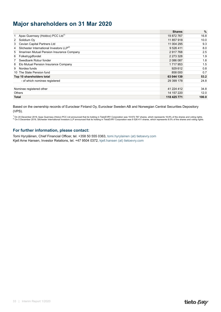### <span id="page-33-0"></span>**Major shareholders on 31 Mar 2020**

|                                                           | <b>Shares</b> | $\%$  |
|-----------------------------------------------------------|---------------|-------|
| Apax Guernsey (Holdco) PCC Ltd <sup>1)</sup>              | 19872767      | 16.8  |
| Solidium Oy<br>2                                          | 11 857 918    | 10.0  |
| Cevian Capital Partners Ltd<br>3                          | 11 004 295    | 9.3   |
| Silchester International Investors LLP <sup>2)</sup><br>4 | 9 5 26 4 11   | 8.0   |
| Ilmarinen Mutual Pension Insurance Company<br>5           | 2917768       | 2.5   |
| Folketrygdfondet<br>6                                     | 2 2 7 3 3 2 8 | 1.9   |
| Swedbank Robur fonder                                     | 2 086 087     | 1.8   |
| Elo Mutual Pension Insurance Company<br>8                 | 1717953       | 1.5   |
| Nordea funds<br>9                                         | 929 612       | 0.8   |
| 10 The State Pension fund                                 | 858 000       | 0.7   |
| Top 10 shareholders total                                 | 63 044 139    | 53.2  |
| - of which nominee registered                             | 29 399 178    | 24.8  |
|                                                           |               |       |
| Nominee registered other                                  | 41 224 412    | 34.8  |
| <b>Others</b>                                             | 14 157 220    | 12.0  |
| <b>Total</b>                                              | 118 425 771   | 100.0 |

Based on the ownership records of Euroclear Finland Oy, Euroclear Sweden AB and Norwegian Central Securities Depository (VPS).

<sup>1)</sup> On 20 December 2019, Apax Guernsey (Holco) PCC Ltd announced that its holding in TietoEVRY Corporation was 19 872 767 shares, which represents 16.8% of the shares and voting rights.<br><sup>2)</sup> On 5 December 2019, Silchester

#### **For further information, please contact:**

Tomi Hyryläinen, Chief Financial Officer, tel. +358 50 555 0363, [tomi.hyrylainen \(at\) tietoevry.com](mailto:tomi.hyrylainen@tietoevry.com) Kjell Arne Hansen, Investor Relations, tel. +47 9504 0372, [kjell.hansen \(at\) tietoevry.com](mailto:kjell.hansen@tietoevry.com)